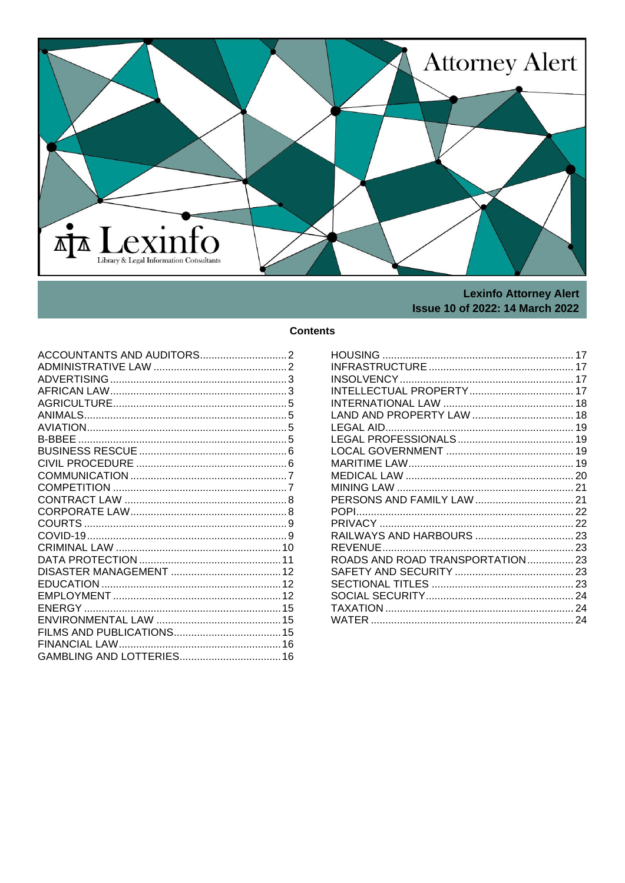<span id="page-0-0"></span>

# **Lexinfo Attorney Alert Issue 10 of 2022: 14 March 2022**

# **Contents**

| ROADS AND ROAD TRANSPORTATION 23 |  |
|----------------------------------|--|
|                                  |  |
|                                  |  |
|                                  |  |
|                                  |  |
|                                  |  |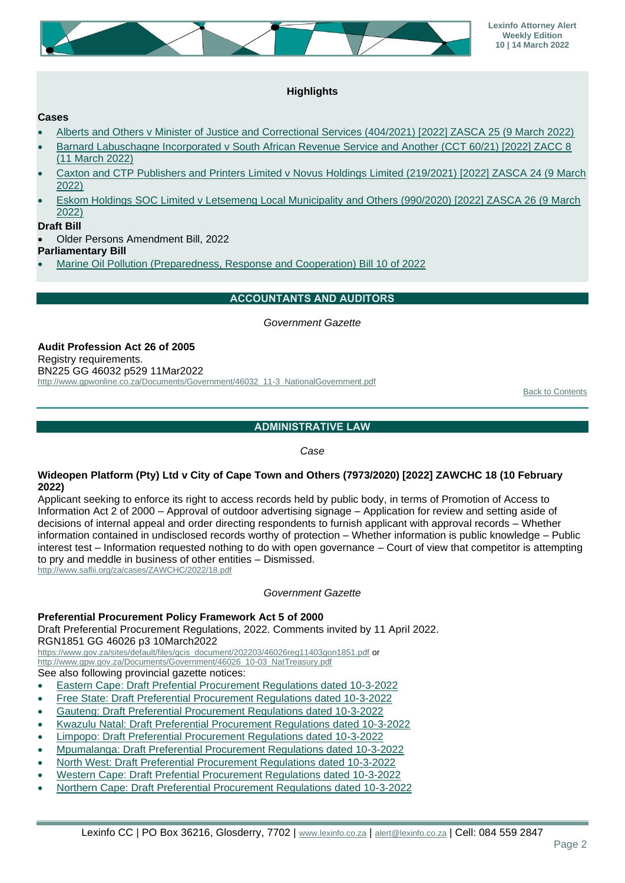

# **Highlights**

#### **Cases**

- [Alberts and Others v Minister of Justice and Correctional Services \(404/2021\) \[2022\] ZASCA 25 \(9 March 2022\)](http://www.saflii.org/za/cases/ZASCA/2022/25.html)
- [Barnard Labuschagne Incorporated v South African Revenue Service and Another \(CCT 60/21\) \[2022\] ZACC 8](http://www.saflii.org/za/cases/ZACC/2022/8.html)  [\(11 March 2022\)](http://www.saflii.org/za/cases/ZACC/2022/8.html)
- [Caxton and CTP Publishers and Printers Limited v Novus Holdings Limited \(219/2021\) \[2022\] ZASCA 24 \(9 March](http://www.saflii.org/za/cases/ZASCA/2022/24.html)  [2022\)](http://www.saflii.org/za/cases/ZASCA/2022/24.html)
- [Eskom Holdings SOC Limited v Letsemeng Local Municipality and Others \(990/2020\) \[2022\] ZASCA 26 \(9 March](http://www.saflii.org/za/cases/ZASCA/2022/26.html)  [2022\)](http://www.saflii.org/za/cases/ZASCA/2022/26.html)

## **Draft Bill**

• Older Persons Amendment Bill, 2022

**Parliamentary Bill**

<span id="page-1-0"></span>• [Marine Oil Pollution \(Preparedness, Response and Cooperation\) Bill 10 of 2022](https://pmg.org.za/files/B10-2022_Marine_Oil_Pollution_Preparedness.pdf)

## **ACCOUNTANTS AND AUDITORS**

#### *Government Gazette*

**Audit Profession Act 26 of 2005** Registry requirements. BN225 GG 46032 p529 11Mar2022 [http://www.gpwonline.co.za/Documents/Government/46032\\_11-3\\_NationalGovernment.pdf](http://www.gpwonline.co.za/Documents/Government/46032_11-3_NationalGovernment.pdf)

[Back to Contents](#page-0-0)

## **ADMINISTRATIVE LAW**

*Case*

#### <span id="page-1-1"></span>**Wideopen Platform (Pty) Ltd v City of Cape Town and Others (7973/2020) [2022] ZAWCHC 18 (10 February 2022)**

Applicant seeking to enforce its right to access records held by public body, in terms of Promotion of Access to Information Act 2 of 2000 – Approval of outdoor advertising signage – Application for review and setting aside of decisions of internal appeal and order directing respondents to furnish applicant with approval records – Whether information contained in undisclosed records worthy of protection – Whether information is public knowledge – Public interest test – Information requested nothing to do with open governance – Court of view that competitor is attempting to pry and meddle in business of other entities – Dismissed. <http://www.saflii.org/za/cases/ZAWCHC/2022/18.pdf>

*Government Gazette*

## **Preferential Procurement Policy Framework Act 5 of 2000**

Draft Preferential Procurement Regulations, 2022. Comments invited by 11 April 2022. RGN1851 GG 46026 p3 10March2022

[https://www.gov.za/sites/default/files/gcis\\_document/202203/46026reg11403gon1851.pdf](https://www.gov.za/sites/default/files/gcis_document/202203/46026reg11403gon1851.pdf) or [http://www.gpw.gov.za/Documents/Government/46026\\_10-03\\_NatTreasury.pdf](http://www.gpw.gov.za/Documents/Government/46026_10-03_NatTreasury.pdf) See also following provincial gazette notices:

• [Eastern Cape: Draft Prefential Procurement Regulations dated 10-3-2022](http://www.treasury.gov.za/comm_media/press/2022/DPPR/EC%20Gazette%20Draft%20Prefential%20Procuement%20Regulations%20Comment%2010-3-2022.pdf)

- [Free State: Draft Preferential Procurement Regulations dated 10-3-2022](http://www.treasury.gov.za/comm_media/press/2022/DPPR/FS%20Gazette%20Draft%20Preferential%20Procurement%20Regulations%20Comment%2010-3-2022.pdf)
- [Gauteng: Draft Preferential Procurement Regulations dated 10-3-2022](http://www.treasury.gov.za/comm_media/press/2022/DPPR/Gauteng%20Gazette%20Draft%20Preferential%20Procurement%20Regulations%20Comment%2010-3-2022.pdf)
- [Kwazulu Natal: Draft Preferential Procurement Regulations dated 10-3-2022](http://www.treasury.gov.za/comm_media/press/2022/DPPR/KZN%20Gazette%20Draft%20Preferential%20Procurement%20Regulations%20Comment%2010-3-2022.pdf)
- [Limpopo: Draft Preferential Procurement Regulations dated 10-3-2022](http://www.treasury.gov.za/comm_media/press/2022/DPPR/Limpopo%20Gazette%20Draft%20Preferential%20Procurement%20Regulations%20Comment%2010-3-2022.pdf)
- [Mpumalanga: Draft Preferential Procurement Regulations dated 10-3-2022](http://www.treasury.gov.za/comm_media/press/2022/DPPR/Mpumalanga%20Gazette%20Draft%20Preferential%20Procurement%20Regulations%20Comment%2010-3-2022.pdf)
- [North West: Draft Preferential Procurement Regulations dated 10-3-2022](http://www.treasury.gov.za/comm_media/press/2022/DPPR/NW%20Gazette%20Draft%20Preferential%20Procurement%20Regulations%2010-3-2022.pdf)
- [Western Cape: Draft Prefential Procurement Regulations dated 10-3-2022](http://www.treasury.gov.za/comm_media/press/2022/DPPR/WC%20Gazette%20Draft%20Prefential%20Procurement%20Regulations%20Comment%2010-3-2022.pdf)
- [Northern Cape: Draft Preferential Procurement Regulations dated 10-3-2022](http://www.treasury.gov.za/comm_media/press/2022/DPPR/NC%20Gazette%20Draft%20Preferential%20Procurement%20Regulations%20Comment%2010-3-2022.pdf)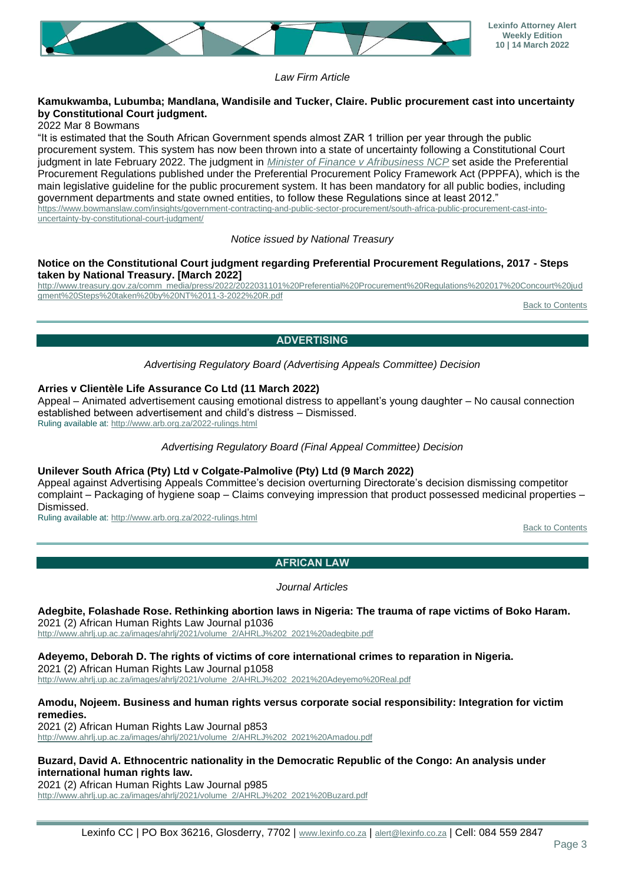

*Law Firm Article*

#### **Kamukwamba, Lubumba; Mandlana, Wandisile and Tucker, Claire. Public procurement cast into uncertainty by Constitutional Court judgment.**

2022 Mar 8 Bowmans

"It is estimated that the South African Government spends almost ZAR 1 trillion per year through the public procurement system. This system has now been thrown into a state of uncertainty following a Constitutional Court judgment in late February 2022. The judgment in *[Minister of Finance v Afribusiness NCP](http://www.saflii.org/za/cases/ZACC/2022/4.pdf)* set aside the Preferential Procurement Regulations published under the Preferential Procurement Policy Framework Act (PPPFA), which is the main legislative guideline for the public procurement system. It has been mandatory for all public bodies, including government departments and state owned entities, to follow these Regulations since at least 2012." [https://www.bowmanslaw.com/insights/government-contracting-and-public-sector-procurement/south-africa-public-procurement-cast-into](https://www.bowmanslaw.com/insights/government-contracting-and-public-sector-procurement/south-africa-public-procurement-cast-into-uncertainty-by-constitutional-court-judgment/)[uncertainty-by-constitutional-court-judgment/](https://www.bowmanslaw.com/insights/government-contracting-and-public-sector-procurement/south-africa-public-procurement-cast-into-uncertainty-by-constitutional-court-judgment/)

*Notice issued by National Treasury*

#### **Notice on the Constitutional Court judgment regarding Preferential Procurement Regulations, 2017 - Steps taken by National Treasury. [March 2022]**

[http://www.treasury.gov.za/comm\\_media/press/2022/2022031101%20Preferential%20Procurement%20Regulations%202017%20Concourt%20jud](http://www.treasury.gov.za/comm_media/press/2022/2022031101%20Preferential%20Procurement%20Regulations%202017%20Concourt%20judgment%20Steps%20taken%20by%20NT%2011-3-2022%20R.pdf) [gment%20Steps%20taken%20by%20NT%2011-3-2022%20R.pdf](http://www.treasury.gov.za/comm_media/press/2022/2022031101%20Preferential%20Procurement%20Regulations%202017%20Concourt%20judgment%20Steps%20taken%20by%20NT%2011-3-2022%20R.pdf)

[Back to Contents](#page-0-0)

# **ADVERTISING**

*Advertising Regulatory Board (Advertising Appeals Committee) Decision*

## <span id="page-2-0"></span>**Arries v Clientèle Life Assurance Co Ltd (11 March 2022)**

Appeal – Animated advertisement causing emotional distress to appellant's young daughter – No causal connection established between advertisement and child's distress – Dismissed. Ruling available at:<http://www.arb.org.za/2022-rulings.html>

*Advertising Regulatory Board (Final Appeal Committee) Decision*

## **Unilever South Africa (Pty) Ltd v Colgate-Palmolive (Pty) Ltd (9 March 2022)**

Appeal against Advertising Appeals Committee's decision overturning Directorate's decision dismissing competitor complaint – Packaging of hygiene soap – Claims conveying impression that product possessed medicinal properties – Dismissed.

<span id="page-2-1"></span>Ruling available at:<http://www.arb.org.za/2022-rulings.html>

[Back to Contents](#page-0-0)

# **AFRICAN LAW**

*Journal Articles*

**Adegbite, Folashade Rose. Rethinking abortion laws in Nigeria: The trauma of rape victims of Boko Haram.** 2021 (2) African Human Rights Law Journal p1036

[http://www.ahrlj.up.ac.za/images/ahrlj/2021/volume\\_2/AHRLJ%202\\_2021%20adegbite.pdf](http://www.ahrlj.up.ac.za/images/ahrlj/2021/volume_2/AHRLJ%202_2021%20adegbite.pdf)

**Adeyemo, Deborah D. The rights of victims of core international crimes to reparation in Nigeria.** 2021 (2) African Human Rights Law Journal p1058 [http://www.ahrlj.up.ac.za/images/ahrlj/2021/volume\\_2/AHRLJ%202\\_2021%20Adeyemo%20Real.pdf](http://www.ahrlj.up.ac.za/images/ahrlj/2021/volume_2/AHRLJ%202_2021%20Adeyemo%20Real.pdf)

#### **Amodu, Nojeem. Business and human rights versus corporate social responsibility: Integration for victim remedies.**

2021 (2) African Human Rights Law Journal p853 [http://www.ahrlj.up.ac.za/images/ahrlj/2021/volume\\_2/AHRLJ%202\\_2021%20Amadou.pdf](http://www.ahrlj.up.ac.za/images/ahrlj/2021/volume_2/AHRLJ%202_2021%20Amadou.pdf)

#### **Buzard, David A. Ethnocentric nationality in the Democratic Republic of the Congo: An analysis under international human rights law.**

2021 (2) African Human Rights Law Journal p985 [http://www.ahrlj.up.ac.za/images/ahrlj/2021/volume\\_2/AHRLJ%202\\_2021%20Buzard.pdf](http://www.ahrlj.up.ac.za/images/ahrlj/2021/volume_2/AHRLJ%202_2021%20Buzard.pdf)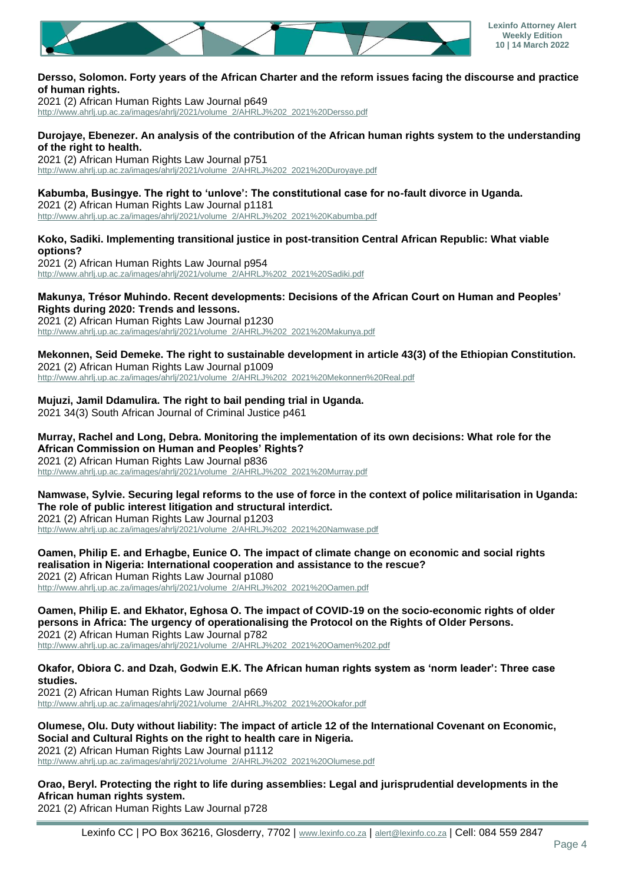

#### **Dersso, Solomon. Forty years of the African Charter and the reform issues facing the discourse and practice of human rights.**

2021 (2) African Human Rights Law Journal p649

[http://www.ahrlj.up.ac.za/images/ahrlj/2021/volume\\_2/AHRLJ%202\\_2021%20Dersso.pdf](http://www.ahrlj.up.ac.za/images/ahrlj/2021/volume_2/AHRLJ%202_2021%20Dersso.pdf)

# **Durojaye, Ebenezer. An analysis of the contribution of the African human rights system to the understanding of the right to health.**

2021 (2) African Human Rights Law Journal p751 [http://www.ahrlj.up.ac.za/images/ahrlj/2021/volume\\_2/AHRLJ%202\\_2021%20Duroyaye.pdf](http://www.ahrlj.up.ac.za/images/ahrlj/2021/volume_2/AHRLJ%202_2021%20Duroyaye.pdf)

#### **Kabumba, Busingye. The right to 'unlove': The constitutional case for no-fault divorce in Uganda.**

2021 (2) African Human Rights Law Journal p1181

[http://www.ahrlj.up.ac.za/images/ahrlj/2021/volume\\_2/AHRLJ%202\\_2021%20Kabumba.pdf](http://www.ahrlj.up.ac.za/images/ahrlj/2021/volume_2/AHRLJ%202_2021%20Kabumba.pdf)

#### **Koko, Sadiki. Implementing transitional justice in post-transition Central African Republic: What viable options?**

2021 (2) African Human Rights Law Journal p954 [http://www.ahrlj.up.ac.za/images/ahrlj/2021/volume\\_2/AHRLJ%202\\_2021%20Sadiki.pdf](http://www.ahrlj.up.ac.za/images/ahrlj/2021/volume_2/AHRLJ%202_2021%20Sadiki.pdf)

#### **Makunya, Trésor Muhindo. Recent developments: Decisions of the African Court on Human and Peoples' Rights during 2020: Trends and lessons.**

2021 (2) African Human Rights Law Journal p1230 [http://www.ahrlj.up.ac.za/images/ahrlj/2021/volume\\_2/AHRLJ%202\\_2021%20Makunya.pdf](http://www.ahrlj.up.ac.za/images/ahrlj/2021/volume_2/AHRLJ%202_2021%20Makunya.pdf)

# **Mekonnen, Seid Demeke. The right to sustainable development in article 43(3) of the Ethiopian Constitution.**

2021 (2) African Human Rights Law Journal p1009 [http://www.ahrlj.up.ac.za/images/ahrlj/2021/volume\\_2/AHRLJ%202\\_2021%20Mekonnen%20Real.pdf](http://www.ahrlj.up.ac.za/images/ahrlj/2021/volume_2/AHRLJ%202_2021%20Mekonnen%20Real.pdf)

#### **Mujuzi, Jamil Ddamulira. The right to bail pending trial in Uganda.**

2021 34(3) South African Journal of Criminal Justice p461

#### **Murray, Rachel and Long, Debra. Monitoring the implementation of its own decisions: What role for the African Commission on Human and Peoples' Rights?**

2021 (2) African Human Rights Law Journal p836 [http://www.ahrlj.up.ac.za/images/ahrlj/2021/volume\\_2/AHRLJ%202\\_2021%20Murray.pdf](http://www.ahrlj.up.ac.za/images/ahrlj/2021/volume_2/AHRLJ%202_2021%20Murray.pdf)

# **Namwase, Sylvie. Securing legal reforms to the use of force in the context of police militarisation in Uganda: The role of public interest litigation and structural interdict.**

2021 (2) African Human Rights Law Journal p1203 [http://www.ahrlj.up.ac.za/images/ahrlj/2021/volume\\_2/AHRLJ%202\\_2021%20Namwase.pdf](http://www.ahrlj.up.ac.za/images/ahrlj/2021/volume_2/AHRLJ%202_2021%20Namwase.pdf)

#### **Oamen, Philip E. and Erhagbe, Eunice O. The impact of climate change on economic and social rights realisation in Nigeria: International cooperation and assistance to the rescue?** 2021 (2) African Human Rights Law Journal p1080

[http://www.ahrlj.up.ac.za/images/ahrlj/2021/volume\\_2/AHRLJ%202\\_2021%20Oamen.pdf](http://www.ahrlj.up.ac.za/images/ahrlj/2021/volume_2/AHRLJ%202_2021%20Oamen.pdf)

## **Oamen, Philip E. and Ekhator, Eghosa O. The impact of COVID-19 on the socio-economic rights of older persons in Africa: The urgency of operationalising the Protocol on the Rights of Older Persons.** 2021 (2) African Human Rights Law Journal p782

[http://www.ahrlj.up.ac.za/images/ahrlj/2021/volume\\_2/AHRLJ%202\\_2021%20Oamen%202.pdf](http://www.ahrlj.up.ac.za/images/ahrlj/2021/volume_2/AHRLJ%202_2021%20Oamen%202.pdf)

## **Okafor, Obiora C. and Dzah, Godwin E.K. The African human rights system as 'norm leader': Three case studies.**

2021 (2) African Human Rights Law Journal p669 [http://www.ahrlj.up.ac.za/images/ahrlj/2021/volume\\_2/AHRLJ%202\\_2021%20Okafor.pdf](http://www.ahrlj.up.ac.za/images/ahrlj/2021/volume_2/AHRLJ%202_2021%20Okafor.pdf)

#### **Olumese, Olu. Duty without liability: The impact of article 12 of the International Covenant on Economic, Social and Cultural Rights on the right to health care in Nigeria.** 2021 (2) African Human Rights Law Journal p1112

[http://www.ahrlj.up.ac.za/images/ahrlj/2021/volume\\_2/AHRLJ%202\\_2021%20Olumese.pdf](http://www.ahrlj.up.ac.za/images/ahrlj/2021/volume_2/AHRLJ%202_2021%20Olumese.pdf)

# **Orao, Beryl. Protecting the right to life during assemblies: Legal and jurisprudential developments in the African human rights system.**

2021 (2) African Human Rights Law Journal p728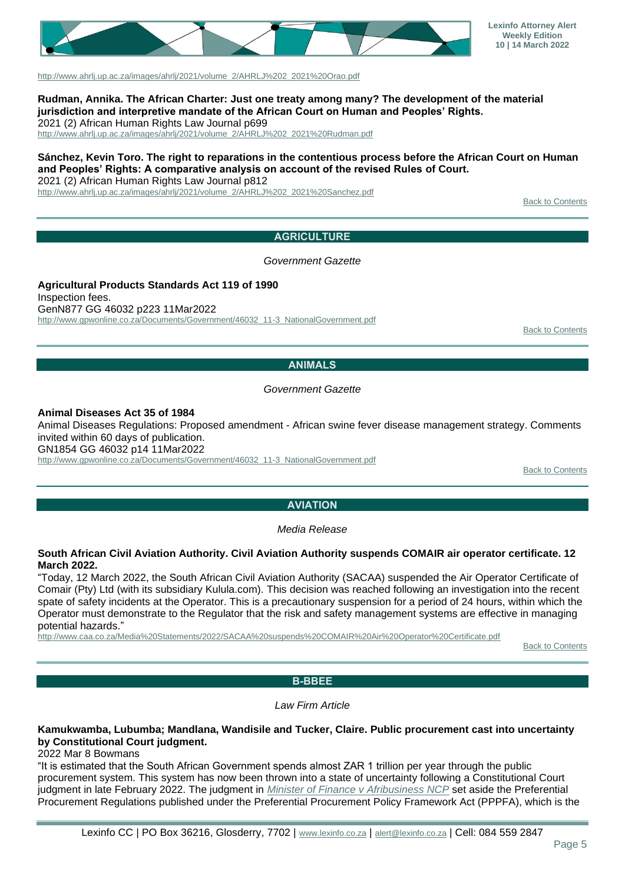

[http://www.ahrlj.up.ac.za/images/ahrlj/2021/volume\\_2/AHRLJ%202\\_2021%20Orao.pdf](http://www.ahrlj.up.ac.za/images/ahrlj/2021/volume_2/AHRLJ%202_2021%20Orao.pdf)

**Rudman, Annika. The African Charter: Just one treaty among many? The development of the material jurisdiction and interpretive mandate of the African Court on Human and Peoples' Rights.** 2021 (2) African Human Rights Law Journal p699

[http://www.ahrlj.up.ac.za/images/ahrlj/2021/volume\\_2/AHRLJ%202\\_2021%20Rudman.pdf](http://www.ahrlj.up.ac.za/images/ahrlj/2021/volume_2/AHRLJ%202_2021%20Rudman.pdf)

# **Sánchez, Kevin Toro. The right to reparations in the contentious process before the African Court on Human and Peoples' Rights: A comparative analysis on account of the revised Rules of Court.**

2021 (2) African Human Rights Law Journal p812

<span id="page-4-0"></span>[http://www.ahrlj.up.ac.za/images/ahrlj/2021/volume\\_2/AHRLJ%202\\_2021%20Sanchez.pdf](http://www.ahrlj.up.ac.za/images/ahrlj/2021/volume_2/AHRLJ%202_2021%20Sanchez.pdf)

**[Back to Contents](#page-0-0)** 

#### **AGRICULTURE**

*Government Gazette*

**Agricultural Products Standards Act 119 of 1990** Inspection fees. GenN877 GG 46032 p223 11Mar2022 [http://www.gpwonline.co.za/Documents/Government/46032\\_11-3\\_NationalGovernment.pdf](http://www.gpwonline.co.za/Documents/Government/46032_11-3_NationalGovernment.pdf)

[Back to Contents](#page-0-0)

#### **ANIMALS**

*Government Gazette*

<span id="page-4-1"></span>**Animal Diseases Act 35 of 1984**

Animal Diseases Regulations: Proposed amendment - African swine fever disease management strategy. Comments invited within 60 days of publication.

GN1854 GG 46032 p14 11Mar2022

<span id="page-4-2"></span>[http://www.gpwonline.co.za/Documents/Government/46032\\_11-3\\_NationalGovernment.pdf](http://www.gpwonline.co.za/Documents/Government/46032_11-3_NationalGovernment.pdf)

**[Back to Contents](#page-0-0)** 

#### **AVIATION**

*Media Release*

#### **South African Civil Aviation Authority. Civil Aviation Authority suspends COMAIR air operator certificate. 12 March 2022.**

"Today, 12 March 2022, the South African Civil Aviation Authority (SACAA) suspended the Air Operator Certificate of Comair (Pty) Ltd (with its subsidiary Kulula.com). This decision was reached following an investigation into the recent spate of safety incidents at the Operator. This is a precautionary suspension for a period of 24 hours, within which the Operator must demonstrate to the Regulator that the risk and safety management systems are effective in managing potential hazards."

<span id="page-4-3"></span><http://www.caa.co.za/Media%20Statements/2022/SACAA%20suspends%20COMAIR%20Air%20Operator%20Certificate.pdf>

**[Back to Contents](#page-0-0)** 

#### **B-BBEE**

*Law Firm Article*

**Kamukwamba, Lubumba; Mandlana, Wandisile and Tucker, Claire. Public procurement cast into uncertainty by Constitutional Court judgment.**

2022 Mar 8 Bowmans

"It is estimated that the South African Government spends almost ZAR 1 trillion per year through the public procurement system. This system has now been thrown into a state of uncertainty following a Constitutional Court judgment in late February 2022. The judgment in *[Minister of Finance v Afribusiness NCP](http://www.saflii.org/za/cases/ZACC/2022/4.pdf)* set aside the Preferential Procurement Regulations published under the Preferential Procurement Policy Framework Act (PPPFA), which is the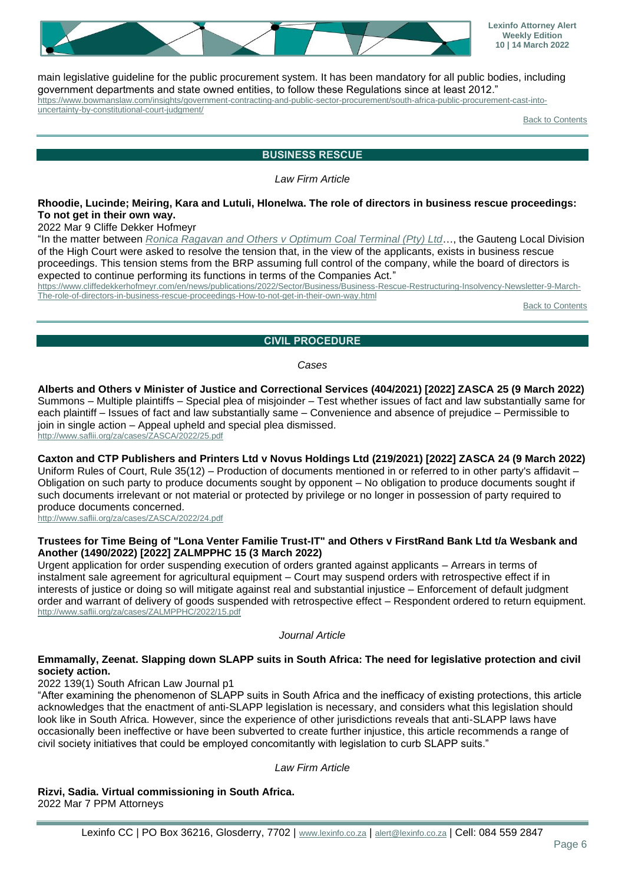

main legislative guideline for the public procurement system. It has been mandatory for all public bodies, including government departments and state owned entities, to follow these Regulations since at least 2012."

[https://www.bowmanslaw.com/insights/government-contracting-and-public-sector-procurement/south-africa-public-procurement-cast-into](https://www.bowmanslaw.com/insights/government-contracting-and-public-sector-procurement/south-africa-public-procurement-cast-into-uncertainty-by-constitutional-court-judgment/)[uncertainty-by-constitutional-court-judgment/](https://www.bowmanslaw.com/insights/government-contracting-and-public-sector-procurement/south-africa-public-procurement-cast-into-uncertainty-by-constitutional-court-judgment/)

**[Back to Contents](#page-0-0)** 

#### **BUSINESS RESCUE**

*Law Firm Article*

#### <span id="page-5-0"></span>**Rhoodie, Lucinde; Meiring, Kara and Lutuli, Hlonelwa. The role of directors in business rescue proceedings: To not get in their own way.**

2022 Mar 9 Cliffe Dekker Hofmeyr

"In the matter between *[Ronica Ragavan and Others v Optimum Coal Terminal \(Pty\) Ltd](http://www.saflii.org/za/cases/ZAGPJHC/2022/22.pdf)*…, the Gauteng Local Division of the High Court were asked to resolve the tension that, in the view of the applicants, exists in business rescue proceedings. This tension stems from the BRP assuming full control of the company, while the board of directors is expected to continue performing its functions in terms of the Companies Act."

[https://www.cliffedekkerhofmeyr.com/en/news/publications/2022/Sector/Business/Business-Rescue-Restructuring-Insolvency-Newsletter-9-March-](https://www.cliffedekkerhofmeyr.com/en/news/publications/2022/Sector/Business/Business-Rescue-Restructuring-Insolvency-Newsletter-9-March-The-role-of-directors-in-business-rescue-proceedings-How-to-not-get-in-their-own-way.html)[The-role-of-directors-in-business-rescue-proceedings-How-to-not-get-in-their-own-way.html](https://www.cliffedekkerhofmeyr.com/en/news/publications/2022/Sector/Business/Business-Rescue-Restructuring-Insolvency-Newsletter-9-March-The-role-of-directors-in-business-rescue-proceedings-How-to-not-get-in-their-own-way.html)

[Back to Contents](#page-0-0)

#### **CIVIL PROCEDURE**

*Cases*

# <span id="page-5-1"></span>**Alberts and Others v Minister of Justice and Correctional Services (404/2021) [2022] ZASCA 25 (9 March 2022)**

Summons – Multiple plaintiffs – Special plea of misjoinder – Test whether issues of fact and law substantially same for each plaintiff – Issues of fact and law substantially same – Convenience and absence of prejudice – Permissible to join in single action – Appeal upheld and special plea dismissed. <http://www.saflii.org/za/cases/ZASCA/2022/25.pdf>

# **Caxton and CTP Publishers and Printers Ltd v Novus Holdings Ltd (219/2021) [2022] ZASCA 24 (9 March 2022)**

Uniform Rules of Court, Rule 35(12) – Production of documents mentioned in or referred to in other party's affidavit – Obligation on such party to produce documents sought by opponent – No obligation to produce documents sought if such documents irrelevant or not material or protected by privilege or no longer in possession of party required to produce documents concerned.

<http://www.saflii.org/za/cases/ZASCA/2022/24.pdf>

#### **Trustees for Time Being of "Lona Venter Familie Trust-IT" and Others v FirstRand Bank Ltd t/a Wesbank and Another (1490/2022) [2022] ZALMPPHC 15 (3 March 2022)**

Urgent application for order suspending execution of orders granted against applicants – Arrears in terms of instalment sale agreement for agricultural equipment – Court may suspend orders with retrospective effect if in interests of justice or doing so will mitigate against real and substantial injustice – Enforcement of default judgment order and warrant of delivery of goods suspended with retrospective effect – Respondent ordered to return equipment. <http://www.saflii.org/za/cases/ZALMPPHC/2022/15.pdf>

*Journal Article*

#### **Emmamally, Zeenat. Slapping down SLAPP suits in South Africa: The need for legislative protection and civil society action.**

2022 139(1) South African Law Journal p1

"After examining the phenomenon of SLAPP suits in South Africa and the inefficacy of existing protections, this article acknowledges that the enactment of anti-SLAPP legislation is necessary, and considers what this legislation should look like in South Africa. However, since the experience of other jurisdictions reveals that anti-SLAPP laws have occasionally been ineffective or have been subverted to create further injustice, this article recommends a range of civil society initiatives that could be employed concomitantly with legislation to curb SLAPP suits."

*Law Firm Article*

**Rizvi, Sadia. Virtual commissioning in South Africa.** 2022 Mar 7 PPM Attorneys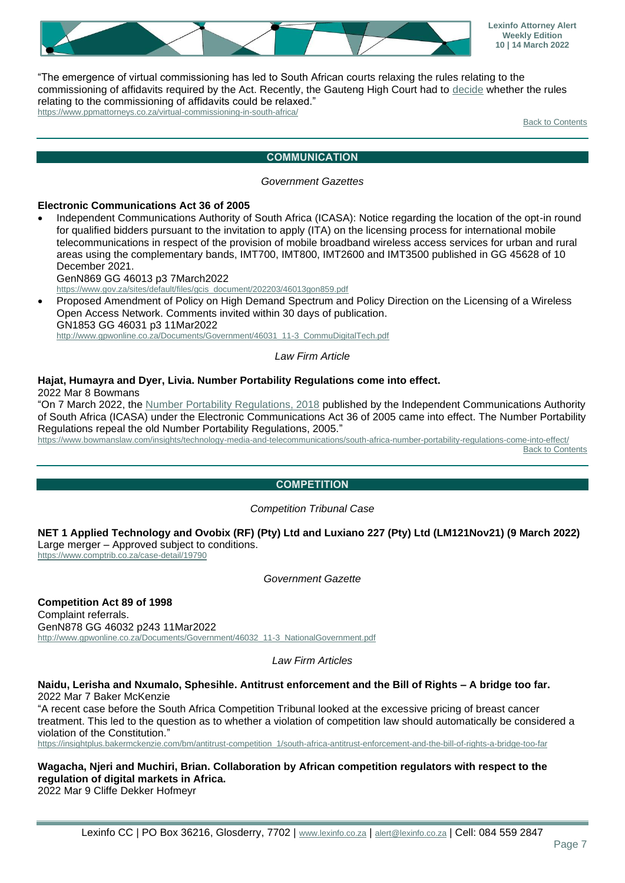

"The emergence of virtual commissioning has led to South African courts relaxing the rules relating to the commissioning of affidavits required by the Act. Recently, the Gauteng High Court had to [decide](http://www.saflii.org/za/cases/ZAGPJHC/2021/874.pdf) whether the rules relating to the commissioning of affidavits could be relaxed." <https://www.ppmattorneys.co.za/virtual-commissioning-in-south-africa/>

[Back to Contents](#page-0-0)

#### **COMMUNICATION**

#### *Government Gazettes*

#### <span id="page-6-0"></span>**Electronic Communications Act 36 of 2005**

Independent Communications Authority of South Africa (ICASA): Notice regarding the location of the opt-in round for qualified bidders pursuant to the invitation to apply (ITA) on the licensing process for international mobile telecommunications in respect of the provision of mobile broadband wireless access services for urban and rural areas using the complementary bands, IMT700, IMT800, IMT2600 and IMT3500 published in GG 45628 of 10 December 2021.

GenN869 GG 46013 p3 7March2022

[https://www.gov.za/sites/default/files/gcis\\_document/202203/46013gon859.pdf](https://www.gov.za/sites/default/files/gcis_document/202203/46013gon859.pdf)

• Proposed Amendment of Policy on High Demand Spectrum and Policy Direction on the Licensing of a Wireless Open Access Network. Comments invited within 30 days of publication. GN1853 GG 46031 p3 11Mar2022 [http://www.gpwonline.co.za/Documents/Government/46031\\_11-3\\_CommuDigitalTech.pdf](http://www.gpwonline.co.za/Documents/Government/46031_11-3_CommuDigitalTech.pdf)

#### *Law Firm Article*

#### **Hajat, Humayra and Dyer, Livia. Number Portability Regulations come into effect.**

2022 Mar 8 Bowmans

"On 7 March 2022, the [Number Portability Regulations, 2018](https://www.icasa.org.za/legislation-and-regulations/number-portability-regulations-2018-1) published by the Independent Communications Authority of South Africa (ICASA) under the Electronic Communications Act 36 of 2005 came into effect. The Number Portability Regulations repeal the old Number Portability Regulations, 2005."

<span id="page-6-1"></span><https://www.bowmanslaw.com/insights/technology-media-and-telecommunications/south-africa-number-portability-regulations-come-into-effect/> [Back to Contents](#page-0-0)

## **COMPETITION**

#### *Competition Tribunal Case*

**NET 1 Applied Technology and Ovobix (RF) (Pty) Ltd and Luxiano 227 (Pty) Ltd (LM121Nov21) (9 March 2022)** Large merger – Approved subject to conditions.

<https://www.comptrib.co.za/case-detail/19790>

*Government Gazette*

**Competition Act 89 of 1998** Complaint referrals. GenN878 GG 46032 p243 11Mar2022 [http://www.gpwonline.co.za/Documents/Government/46032\\_11-3\\_NationalGovernment.pdf](http://www.gpwonline.co.za/Documents/Government/46032_11-3_NationalGovernment.pdf)

*Law Firm Articles*

**Naidu, Lerisha and Nxumalo, Sphesihle. Antitrust enforcement and the Bill of Rights – A bridge too far.** 2022 Mar 7 Baker McKenzie

"A recent case before the South Africa Competition Tribunal looked at the excessive pricing of breast cancer treatment. This led to the question as to whether a violation of competition law should automatically be considered a violation of the Constitution."

[https://insightplus.bakermckenzie.com/bm/antitrust-competition\\_1/south-africa-antitrust-enforcement-and-the-bill-of-rights-a-bridge-too-far](https://insightplus.bakermckenzie.com/bm/antitrust-competition_1/south-africa-antitrust-enforcement-and-the-bill-of-rights-a-bridge-too-far)

**Wagacha, Njeri and Muchiri, Brian. Collaboration by African competition regulators with respect to the regulation of digital markets in Africa.** 2022 Mar 9 Cliffe Dekker Hofmeyr

Lexinfo CC | PO Box 36216, Glosderry, 7702 | [www.lexinfo.co.za](http://www.lexinfo.co.za/) | [alert@lexinfo.co.za](mailto:alert@lexinfo.co.za) | Cell: 084 559 2847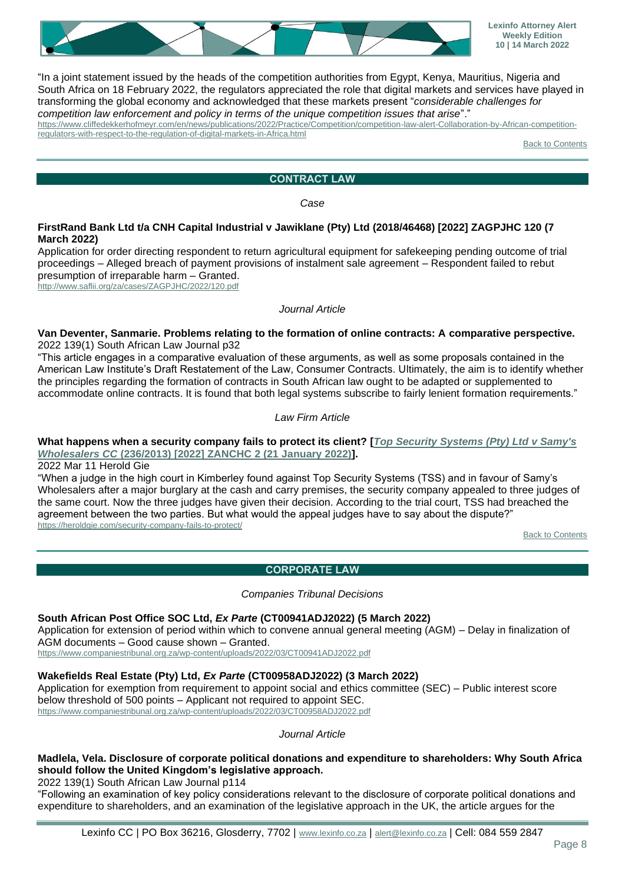

"In a joint statement issued by the heads of the competition authorities from Egypt, Kenya, Mauritius, Nigeria and South Africa on 18 February 2022, the regulators appreciated the role that digital markets and services have played in transforming the global economy and acknowledged that these markets present "*considerable challenges for competition law enforcement and policy in terms of the unique competition issues that arise*"."

[https://www.cliffedekkerhofmeyr.com/en/news/publications/2022/Practice/Competition/competition-law-alert-Collaboration-by-African-competition](https://www.cliffedekkerhofmeyr.com/en/news/publications/2022/Practice/Competition/competition-law-alert-Collaboration-by-African-competition-regulators-with-respect-to-the-regulation-of-digital-markets-in-Africa.html)[regulators-with-respect-to-the-regulation-of-digital-markets-in-Africa.html](https://www.cliffedekkerhofmeyr.com/en/news/publications/2022/Practice/Competition/competition-law-alert-Collaboration-by-African-competition-regulators-with-respect-to-the-regulation-of-digital-markets-in-Africa.html)

**[Back to Contents](#page-0-0)** 

# **CONTRACT LAW**

*Case*

#### <span id="page-7-0"></span>**FirstRand Bank Ltd t/a CNH Capital Industrial v Jawiklane (Pty) Ltd (2018/46468) [2022] ZAGPJHC 120 (7 March 2022)**

Application for order directing respondent to return agricultural equipment for safekeeping pending outcome of trial proceedings – Alleged breach of payment provisions of instalment sale agreement – Respondent failed to rebut presumption of irreparable harm – Granted.

<http://www.saflii.org/za/cases/ZAGPJHC/2022/120.pdf>

#### *Journal Article*

#### **Van Deventer, Sanmarie. Problems relating to the formation of online contracts: A comparative perspective.** 2022 139(1) South African Law Journal p32

"This article engages in a comparative evaluation of these arguments, as well as some proposals contained in the American Law Institute's Draft Restatement of the Law, Consumer Contracts. Ultimately, the aim is to identify whether the principles regarding the formation of contracts in South African law ought to be adapted or supplemented to accommodate online contracts. It is found that both legal systems subscribe to fairly lenient formation requirements."

#### *Law Firm Article*

### **What happens when a security company fails to protect its client? [***[Top Security Systems \(Pty\) Ltd v Samy's](http://www.saflii.org/za/cases/ZANCHC/2022/2.pdf)  Wholesalers CC* **[\(236/2013\) \[2022\] ZANCHC 2 \(21 January 2022\)\]](http://www.saflii.org/za/cases/ZANCHC/2022/2.pdf).**

2022 Mar 11 Herold Gie

"When a judge in the high court in Kimberley found against Top Security Systems (TSS) and in favour of Samy's Wholesalers after a major burglary at the cash and carry premises, the security company appealed to three judges of the same court. Now the three judges have given their decision. According to the trial court, TSS had breached the agreement between the two parties. But what would the appeal judges have to say about the dispute?" <https://heroldgie.com/security-company-fails-to-protect/>

[Back to Contents](#page-0-0)

## **CORPORATE LAW**

#### *Companies Tribunal Decisions*

## <span id="page-7-1"></span>**South African Post Office SOC Ltd,** *Ex Parte* **(CT00941ADJ2022) (5 March 2022)**

Application for extension of period within which to convene annual general meeting (AGM) – Delay in finalization of AGM documents – Good cause shown – Granted.

<https://www.companiestribunal.org.za/wp-content/uploads/2022/03/CT00941ADJ2022.pdf>

## **Wakefields Real Estate (Pty) Ltd,** *Ex Parte* **(CT00958ADJ2022) (3 March 2022)**

Application for exemption from requirement to appoint social and ethics committee (SEC) – Public interest score below threshold of 500 points – Applicant not required to appoint SEC. <https://www.companiestribunal.org.za/wp-content/uploads/2022/03/CT00958ADJ2022.pdf>

*Journal Article*

## **Madlela, Vela. Disclosure of corporate political donations and expenditure to shareholders: Why South Africa should follow the United Kingdom's legislative approach.**

2022 139(1) South African Law Journal p114

"Following an examination of key policy considerations relevant to the disclosure of corporate political donations and expenditure to shareholders, and an examination of the legislative approach in the UK, the article argues for the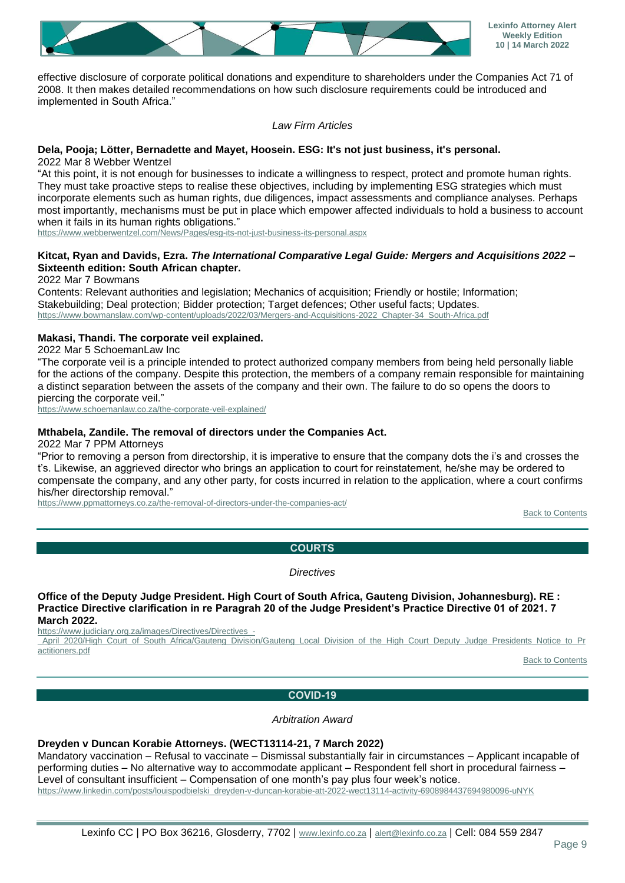

effective disclosure of corporate political donations and expenditure to shareholders under the Companies Act 71 of 2008. It then makes detailed recommendations on how such disclosure requirements could be introduced and implemented in South Africa."

#### *Law Firm Articles*

#### **Dela, Pooja; Lötter, Bernadette and Mayet, Hoosein. ESG: It's not just business, it's personal.**

2022 Mar 8 Webber Wentzel

"At this point, it is not enough for businesses to indicate a willingness to respect, protect and promote human rights. They must take proactive steps to realise these objectives, including by implementing ESG strategies which must incorporate elements such as human rights, due diligences, impact assessments and compliance analyses. Perhaps most importantly, mechanisms must be put in place which empower affected individuals to hold a business to account when it fails in its human rights obligations."

<https://www.webberwentzel.com/News/Pages/esg-its-not-just-business-its-personal.aspx>

#### **Kitcat, Ryan and Davids, Ezra.** *The International Comparative Legal Guide: Mergers and Acquisitions 2022* **– Sixteenth edition: South African chapter.**

2022 Mar 7 Bowmans

Contents: Relevant authorities and legislation; Mechanics of acquisition; Friendly or hostile; Information; Stakebuilding; Deal protection; Bidder protection; Target defences; Other useful facts; Updates. [https://www.bowmanslaw.com/wp-content/uploads/2022/03/Mergers-and-Acquisitions-2022\\_Chapter-34\\_South-Africa.pdf](https://www.bowmanslaw.com/wp-content/uploads/2022/03/Mergers-and-Acquisitions-2022_Chapter-34_South-Africa.pdf)

#### **Makasi, Thandi. The corporate veil explained.**

2022 Mar 5 SchoemanLaw Inc

"The corporate veil is a principle intended to protect authorized company members from being held personally liable for the actions of the company. Despite this protection, the members of a company remain responsible for maintaining a distinct separation between the assets of the company and their own. The failure to do so opens the doors to piercing the corporate veil."

<https://www.schoemanlaw.co.za/the-corporate-veil-explained/>

#### **Mthabela, Zandile. The removal of directors under the Companies Act.**

2022 Mar 7 PPM Attorneys

"Prior to removing a person from directorship, it is imperative to ensure that the company dots the i's and crosses the t's. Likewise, an aggrieved director who brings an application to court for reinstatement, he/she may be ordered to compensate the company, and any other party, for costs incurred in relation to the application, where a court confirms his/her directorship removal."

<span id="page-8-0"></span><https://www.ppmattorneys.co.za/the-removal-of-directors-under-the-companies-act/>

[Back to Contents](#page-0-0)

## **COURTS**

*Directives*

**Office of the Deputy Judge President. High Court of South Africa, Gauteng Division, Johannesburg). RE : Practice Directive clarification in re Paragrah 20 of the Judge President's Practice Directive 01 of 2021. 7 March 2022.**

[https://www.judiciary.org.za/images/Directives/Directives\\_-](https://www.judiciary.org.za/images/Directives/Directives_-_April_2020/High_Court_of_South_Africa/Gauteng_Division/Gauteng_Local_Division_of_the_High_Court_Deputy_Judge_Presidents_Notice_to_Practitioners.pdf)

April\_2020/High\_Court\_of\_South\_Africa/Gauteng\_Division/Gauteng\_Local\_Division\_of\_the\_High\_Court\_Deputy\_Judge\_Presidents\_Notice\_to\_Pr [actitioners.pdf](https://www.judiciary.org.za/images/Directives/Directives_-_April_2020/High_Court_of_South_Africa/Gauteng_Division/Gauteng_Local_Division_of_the_High_Court_Deputy_Judge_Presidents_Notice_to_Practitioners.pdf)

[Back to Contents](#page-0-0)

#### **COVID-19**

*Arbitration Award*

#### <span id="page-8-1"></span>**Dreyden v Duncan Korabie Attorneys. (WECT13114-21, 7 March 2022)**

Mandatory vaccination – Refusal to vaccinate – Dismissal substantially fair in circumstances – Applicant incapable of performing duties – No alternative way to accommodate applicant – Respondent fell short in procedural fairness – Level of consultant insufficient – Compensation of one month's pay plus four week's notice. [https://www.linkedin.com/posts/louispodbielski\\_dreyden-v-duncan-korabie-att-2022-wect13114-activity-6908984437694980096-uNYK](https://www.linkedin.com/posts/louispodbielski_dreyden-v-duncan-korabie-att-2022-wect13114-activity-6908984437694980096-uNYK)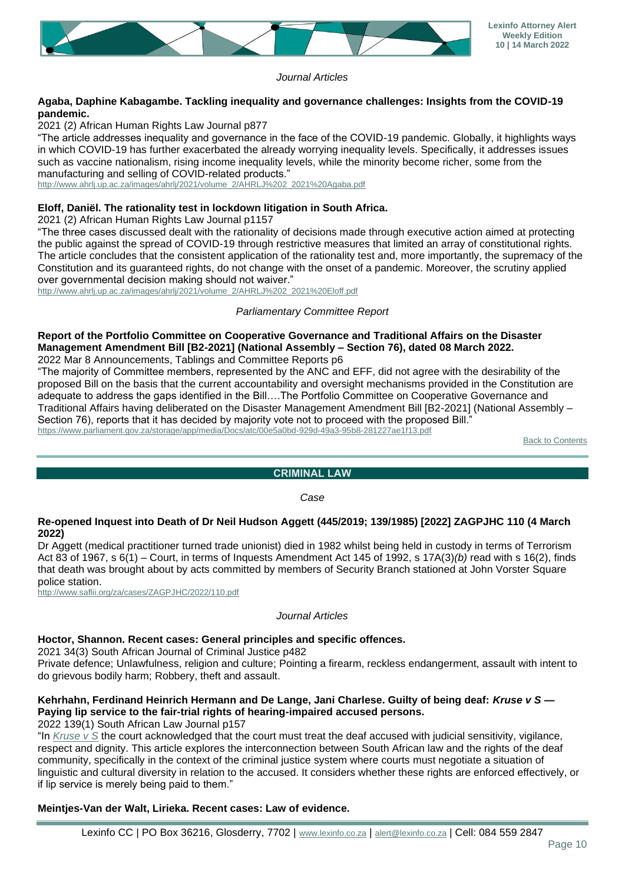

*Journal Articles*

# **Agaba, Daphine Kabagambe. Tackling inequality and governance challenges: Insights from the COVID-19 pandemic.**

2021 (2) African Human Rights Law Journal p877

"The article addresses inequality and governance in the face of the COVID-19 pandemic. Globally, it highlights ways in which COVID-19 has further exacerbated the already worrying inequality levels. Specifically, it addresses issues such as vaccine nationalism, rising income inequality levels, while the minority become richer, some from the manufacturing and selling of COVID-related products."

[http://www.ahrlj.up.ac.za/images/ahrlj/2021/volume\\_2/AHRLJ%202\\_2021%20Agaba.pdf](http://www.ahrlj.up.ac.za/images/ahrlj/2021/volume_2/AHRLJ%202_2021%20Agaba.pdf)

## **Eloff, Daniël. The rationality test in lockdown litigation in South Africa.**

2021 (2) African Human Rights Law Journal p1157

"The three cases discussed dealt with the rationality of decisions made through executive action aimed at protecting the public against the spread of COVID-19 through restrictive measures that limited an array of constitutional rights. The article concludes that the consistent application of the rationality test and, more importantly, the supremacy of the Constitution and its guaranteed rights, do not change with the onset of a pandemic. Moreover, the scrutiny applied over governmental decision making should not waiver."

[http://www.ahrlj.up.ac.za/images/ahrlj/2021/volume\\_2/AHRLJ%202\\_2021%20Eloff.pdf](http://www.ahrlj.up.ac.za/images/ahrlj/2021/volume_2/AHRLJ%202_2021%20Eloff.pdf)

#### *Parliamentary Committee Report*

#### **Report of the Portfolio Committee on Cooperative Governance and Traditional Affairs on the Disaster Management Amendment Bill [B2-2021] (National Assembly – Section 76), dated 08 March 2022.** 2022 Mar 8 Announcements, Tablings and Committee Reports p6

"The majority of Committee members, represented by the ANC and EFF, did not agree with the desirability of the proposed Bill on the basis that the current accountability and oversight mechanisms provided in the Constitution are adequate to address the gaps identified in the Bill….The Portfolio Committee on Cooperative Governance and Traditional Affairs having deliberated on the Disaster Management Amendment Bill [B2-2021] (National Assembly – Section 76), reports that it has decided by majority vote not to proceed with the proposed Bill." <https://www.parliament.gov.za/storage/app/media/Docs/atc/00e5a0bd-929d-49a3-95b8-281227ae1f13.pdf>

**[Back to Contents](#page-0-0)** 

## **CRIMINAL LAW**

*Case*

#### <span id="page-9-0"></span>**Re-opened Inquest into Death of Dr Neil Hudson Aggett (445/2019; 139/1985) [2022] ZAGPJHC 110 (4 March 2022)**

Dr Aggett (medical practitioner turned trade unionist) died in 1982 whilst being held in custody in terms of Terrorism Act 83 of 1967, s 6(1) – Court, in terms of Inquests Amendment Act 145 of 1992, s 17A(3)*(b)* read with s 16(2), finds that death was brought about by acts committed by members of Security Branch stationed at John Vorster Square police station.

<http://www.saflii.org/za/cases/ZAGPJHC/2022/110.pdf>

#### *Journal Articles*

## **Hoctor, Shannon. Recent cases: General principles and specific offences.**

2021 34(3) South African Journal of Criminal Justice p482

Private defence; Unlawfulness, religion and culture; Pointing a firearm, reckless endangerment, assault with intent to do grievous bodily harm; Robbery, theft and assault.

## **Kehrhahn, Ferdinand Heinrich Hermann and De Lange, Jani Charlese. Guilty of being deaf:** *Kruse v S* **— Paying lip service to the fair-trial rights of hearing-impaired accused persons.**

2022 139(1) South African Law Journal p157

"In *[Kruse v S](http://www.saflii.org/za/cases/ZAWCHC/2018/105.pdf)* the court acknowledged that the court must treat the deaf accused with judicial sensitivity, vigilance, respect and dignity. This article explores the interconnection between South African law and the rights of the deaf community, specifically in the context of the criminal justice system where courts must negotiate a situation of linguistic and cultural diversity in relation to the accused. It considers whether these rights are enforced effectively, or if lip service is merely being paid to them."

#### **Meintjes-Van der Walt, Lirieka. Recent cases: Law of evidence.**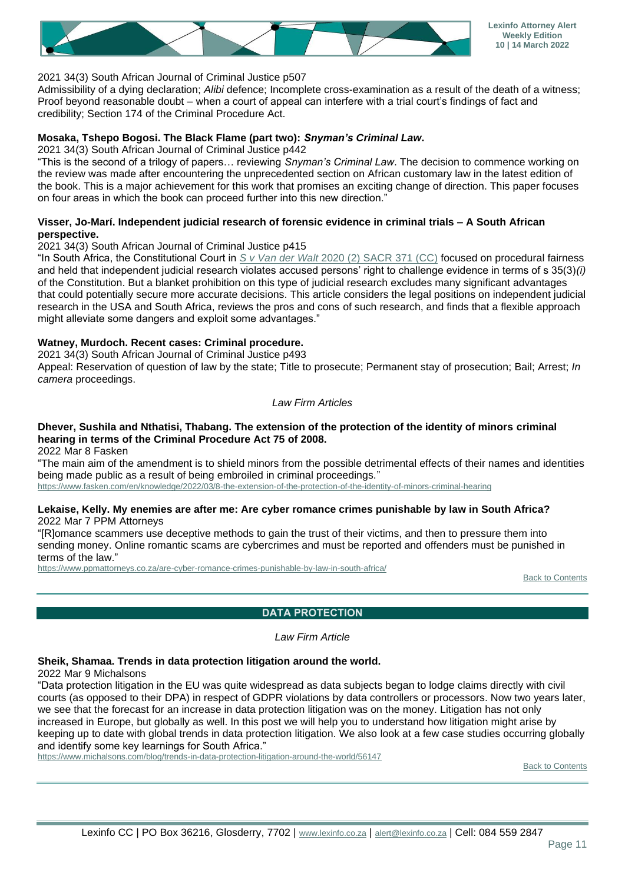

#### 2021 34(3) South African Journal of Criminal Justice p507

Admissibility of a dying declaration; *Alibi* defence; Incomplete cross-examination as a result of the death of a witness; Proof beyond reasonable doubt – when a court of appeal can interfere with a trial court's findings of fact and credibility; Section 174 of the Criminal Procedure Act.

#### **Mosaka, Tshepo Bogosi. The Black Flame (part two):** *Snyman's Criminal Law***.**

2021 34(3) South African Journal of Criminal Justice p442

"This is the second of a trilogy of papers… reviewing *Snyman's Criminal Law*. The decision to commence working on the review was made after encountering the unprecedented section on African customary law in the latest edition of the book. This is a major achievement for this work that promises an exciting change of direction. This paper focuses on four areas in which the book can proceed further into this new direction."

#### **Visser, Jo-Marí. Independent judicial research of forensic evidence in criminal trials – A South African perspective.**

2021 34(3) South African Journal of Criminal Justice p415

"In South Africa, the Constitutional Court in *S v Van der Walt* [2020 \(2\) SACR 371 \(CC\)](http://www.saflii.org/za/cases/ZACC/2020/19.pdf) focused on procedural fairness and held that independent judicial research violates accused persons' right to challenge evidence in terms of s 35(3)*(i)* of the Constitution. But a blanket prohibition on this type of judicial research excludes many significant advantages that could potentially secure more accurate decisions. This article considers the legal positions on independent judicial research in the USA and South Africa, reviews the pros and cons of such research, and finds that a flexible approach might alleviate some dangers and exploit some advantages."

#### **Watney, Murdoch. Recent cases: Criminal procedure.**

2021 34(3) South African Journal of Criminal Justice p493

Appeal: Reservation of question of law by the state; Title to prosecute; Permanent stay of prosecution; Bail; Arrest; *In camera* proceedings.

#### *Law Firm Articles*

# **Dhever, Sushila and Nthatisi, Thabang. The extension of the protection of the identity of minors criminal hearing in terms of the Criminal Procedure Act 75 of 2008.**

2022 Mar 8 Fasken

"The main aim of the amendment is to shield minors from the possible detrimental effects of their names and identities being made public as a result of being embroiled in criminal proceedings." <https://www.fasken.com/en/knowledge/2022/03/8-the-extension-of-the-protection-of-the-identity-of-minors-criminal-hearing>

# **Lekaise, Kelly. My enemies are after me: Are cyber romance crimes punishable by law in South Africa?**

2022 Mar 7 PPM Attorneys

"[R]omance scammers use deceptive methods to gain the trust of their victims, and then to pressure them into sending money. Online romantic scams are cybercrimes and must be reported and offenders must be punished in terms of the law."

<span id="page-10-0"></span><https://www.ppmattorneys.co.za/are-cyber-romance-crimes-punishable-by-law-in-south-africa/>

**[Back to Contents](#page-0-0)** 

**DATA PROTECTION**

*Law Firm Article*

## **Sheik, Shamaa. Trends in data protection litigation around the world.**

2022 Mar 9 Michalsons

"Data protection litigation in the EU was quite widespread as data subjects began to lodge claims directly with civil courts (as opposed to their DPA) in respect of GDPR violations by data controllers or processors. Now two years later, we see that the forecast for an increase in data protection litigation was on the money. Litigation has not only increased in Europe, but globally as well. In this post we will help you to understand how litigation might arise by keeping up to date with global trends in data protection litigation. We also look at a few case studies occurring globally and identify some key learnings for South Africa."

<https://www.michalsons.com/blog/trends-in-data-protection-litigation-around-the-world/56147>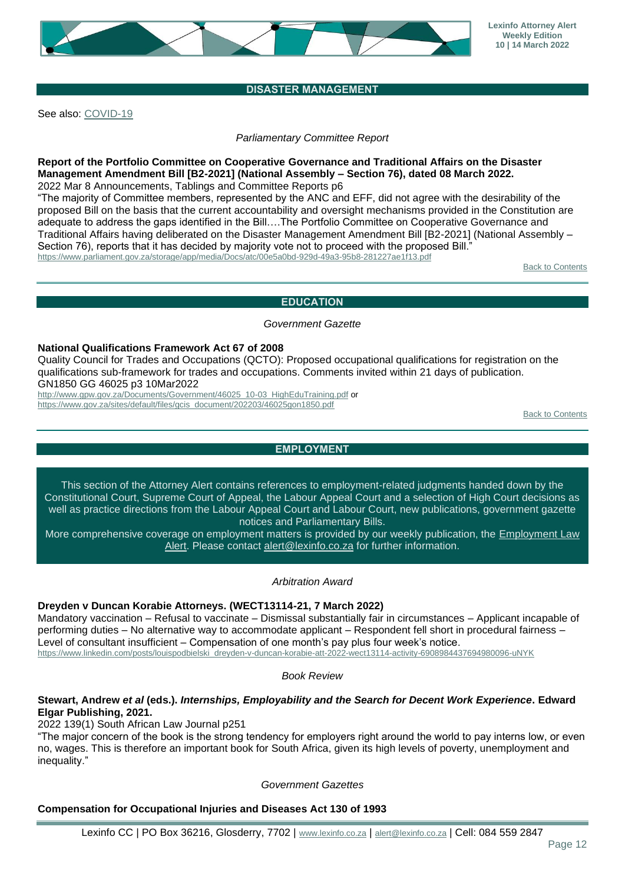

# **DISASTER MANAGEMENT**

<span id="page-11-0"></span>See also: [COVID-19](#page-8-1)

*Parliamentary Committee Report*

#### **Report of the Portfolio Committee on Cooperative Governance and Traditional Affairs on the Disaster Management Amendment Bill [B2-2021] (National Assembly – Section 76), dated 08 March 2022.** 2022 Mar 8 Announcements, Tablings and Committee Reports p6

"The majority of Committee members, represented by the ANC and EFF, did not agree with the desirability of the proposed Bill on the basis that the current accountability and oversight mechanisms provided in the Constitution are adequate to address the gaps identified in the Bill….The Portfolio Committee on Cooperative Governance and Traditional Affairs having deliberated on the Disaster Management Amendment Bill [B2-2021] (National Assembly – Section 76), reports that it has decided by majority vote not to proceed with the proposed Bill. <https://www.parliament.gov.za/storage/app/media/Docs/atc/00e5a0bd-929d-49a3-95b8-281227ae1f13.pdf>

[Back to Contents](#page-0-0)

#### **EDUCATION**

#### *Government Gazette*

#### <span id="page-11-1"></span>**National Qualifications Framework Act 67 of 2008**

Quality Council for Trades and Occupations (QCTO): Proposed occupational qualifications for registration on the qualifications sub-framework for trades and occupations. Comments invited within 21 days of publication. GN1850 GG 46025 p3 10Mar2022

[http://www.gpw.gov.za/Documents/Government/46025\\_10-03\\_HighEduTraining.pdf](http://www.gpw.gov.za/Documents/Government/46025_10-03_HighEduTraining.pdf) or [https://www.gov.za/sites/default/files/gcis\\_document/202203/46025gon1850.pdf](https://www.gov.za/sites/default/files/gcis_document/202203/46025gon1850.pdf)

**[Back to Contents](#page-0-0)** 

# **EMPLOYMENT**

<span id="page-11-2"></span>This section of the Attorney Alert contains references to employment-related judgments handed down by the Constitutional Court, Supreme Court of Appeal, the Labour Appeal Court and a selection of High Court decisions as well as practice directions from the Labour Appeal Court and Labour Court, new publications, government gazette notices and Parliamentary Bills.

More comprehensive coverage on employment matters is provided by our weekly publication, the [Employment Law](https://www.lexinfo.co.za/lexinfo-employment-law-alert)  [Alert.](https://www.lexinfo.co.za/lexinfo-employment-law-alert) Please contact [alert@lexinfo.co.za](mailto:alert@lexinfo.co.za) for further information.

#### *Arbitration Award*

#### **Dreyden v Duncan Korabie Attorneys. (WECT13114-21, 7 March 2022)**

Mandatory vaccination – Refusal to vaccinate – Dismissal substantially fair in circumstances – Applicant incapable of performing duties – No alternative way to accommodate applicant – Respondent fell short in procedural fairness – Level of consultant insufficient – Compensation of one month's pay plus four week's notice.

[https://www.linkedin.com/posts/louispodbielski\\_dreyden-v-duncan-korabie-att-2022-wect13114-activity-6908984437694980096-uNYK](https://www.linkedin.com/posts/louispodbielski_dreyden-v-duncan-korabie-att-2022-wect13114-activity-6908984437694980096-uNYK)

*Book Review*

#### **Stewart, Andrew** *et al* **(eds.).** *Internships, Employability and the Search for Decent Work Experience***. Edward Elgar Publishing, 2021.**

2022 139(1) South African Law Journal p251

"The major concern of the book is the strong tendency for employers right around the world to pay interns low, or even no, wages. This is therefore an important book for South Africa, given its high levels of poverty, unemployment and inequality."

#### *Government Gazettes*

#### **Compensation for Occupational Injuries and Diseases Act 130 of 1993**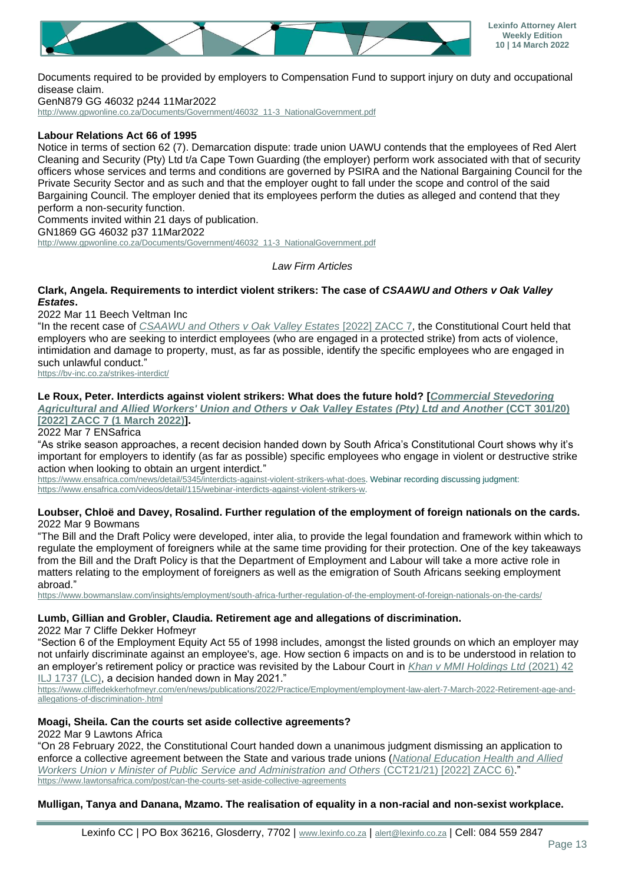

Documents required to be provided by employers to Compensation Fund to support injury on duty and occupational disease claim.

GenN879 GG 46032 p244 11Mar2022

[http://www.gpwonline.co.za/Documents/Government/46032\\_11-3\\_NationalGovernment.pdf](http://www.gpwonline.co.za/Documents/Government/46032_11-3_NationalGovernment.pdf)

## **Labour Relations Act 66 of 1995**

Notice in terms of section 62 (7). Demarcation dispute: trade union UAWU contends that the employees of Red Alert Cleaning and Security (Pty) Ltd t/a Cape Town Guarding (the employer) perform work associated with that of security officers whose services and terms and conditions are governed by PSIRA and the National Bargaining Council for the Private Security Sector and as such and that the employer ought to fall under the scope and control of the said Bargaining Council. The employer denied that its employees perform the duties as alleged and contend that they perform a non-security function. Comments invited within 21 days of publication.

GN1869 GG 46032 p37 11Mar2022

[http://www.gpwonline.co.za/Documents/Government/46032\\_11-3\\_NationalGovernment.pdf](http://www.gpwonline.co.za/Documents/Government/46032_11-3_NationalGovernment.pdf)

*Law Firm Articles*

#### **Clark, Angela. Requirements to interdict violent strikers: The case of** *CSAAWU and Others v Oak Valley Estates***.**

2022 Mar 11 Beech Veltman Inc

"In the recent case of *[CSAAWU and Others v Oak Valley Estates](http://www.saflii.org/za/cases/ZACC/2022/7.pdf)* [2022] ZACC 7, the Constitutional Court held that employers who are seeking to interdict employees (who are engaged in a protected strike) from acts of violence, intimidation and damage to property, must, as far as possible, identify the specific employees who are engaged in such unlawful conduct."

<https://bv-inc.co.za/strikes-interdict/>

#### **Le Roux, Peter. Interdicts against violent strikers: What does the future hold? [***[Commercial Stevedoring](http://www.saflii.org/za/cases/ZACC/2022/7.pdf)*

*[Agricultural and Allied Workers' Union and Others v Oak Valley Estates \(Pty\) Ltd and Another](http://www.saflii.org/za/cases/ZACC/2022/7.pdf)* **(CCT 301/20) [\[2022\] ZACC 7 \(1 March 2022\)\]](http://www.saflii.org/za/cases/ZACC/2022/7.pdf).**

2022 Mar 7 ENSafrica

"As strike season approaches, a recent decision handed down by South Africa's Constitutional Court shows why it's important for employers to identify (as far as possible) specific employees who engage in violent or destructive strike action when looking to obtain an urgent interdict."

[https://www.ensafrica.com/news/detail/5345/interdicts-against-violent-strikers-what-does.](https://www.ensafrica.com/news/detail/5345/interdicts-against-violent-strikers-what-does) Webinar recording discussing judgment: [https://www.ensafrica.com/videos/detail/115/webinar-interdicts-against-violent-strikers-w.](https://www.ensafrica.com/videos/detail/115/webinar-interdicts-against-violent-strikers-w)

#### **Loubser, Chloë and Davey, Rosalind. Further regulation of the employment of foreign nationals on the cards.** 2022 Mar 9 Bowmans

"The Bill and the Draft Policy were developed, inter alia, to provide the legal foundation and framework within which to regulate the employment of foreigners while at the same time providing for their protection. One of the key takeaways from the Bill and the Draft Policy is that the Department of Employment and Labour will take a more active role in matters relating to the employment of foreigners as well as the emigration of South Africans seeking employment abroad."

<https://www.bowmanslaw.com/insights/employment/south-africa-further-regulation-of-the-employment-of-foreign-nationals-on-the-cards/>

## **Lumb, Gillian and Grobler, Claudia. Retirement age and allegations of discrimination.**

2022 Mar 7 Cliffe Dekker Hofmeyr

"Section 6 of the Employment Equity Act 55 of 1998 includes, amongst the listed grounds on which an employer may not unfairly discriminate against an employee's, age. How section 6 impacts on and is to be understood in relation to an employer's retirement policy or practice was revisited by the Labour Court in *[Khan v MMI Holdings Ltd](http://www.saflii.org/za/cases/ZALCCT/2021/38.pdf)* (2021) 42 [ILJ 1737 \(LC\),](http://www.saflii.org/za/cases/ZALCCT/2021/38.pdf) a decision handed down in May 2021."

[https://www.cliffedekkerhofmeyr.com/en/news/publications/2022/Practice/Employment/employment-law-alert-7-March-2022-Retirement-age-and](https://www.cliffedekkerhofmeyr.com/en/news/publications/2022/Practice/Employment/employment-law-alert-7-March-2022-Retirement-age-and-allegations-of-discrimination-.html)[allegations-of-discrimination-.html](https://www.cliffedekkerhofmeyr.com/en/news/publications/2022/Practice/Employment/employment-law-alert-7-March-2022-Retirement-age-and-allegations-of-discrimination-.html)

# **Moagi, Sheila. Can the courts set aside collective agreements?**

2022 Mar 9 Lawtons Africa

"On 28 February 2022, the Constitutional Court handed down a unanimous judgment dismissing an application to enforce a collective agreement between the State and various trade unions (*[National Education Health and Allied](http://www.saflii.org/za/cases/ZACC/2022/6.pdf)  [Workers Union v Minister of Public Service and Administration and Others](http://www.saflii.org/za/cases/ZACC/2022/6.pdf)* (CCT21/21) [2022] ZACC 6)." <https://www.lawtonsafrica.com/post/can-the-courts-set-aside-collective-agreements>

## **Mulligan, Tanya and Danana, Mzamo. The realisation of equality in a non-racial and non-sexist workplace.**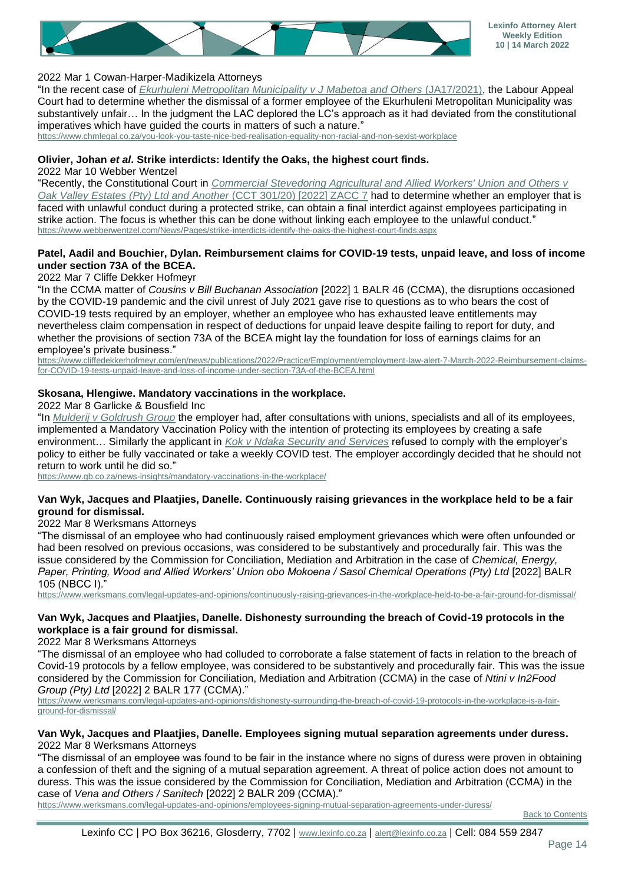

## 2022 Mar 1 Cowan-Harper-Madikizela Attorneys

"In the recent case of *[Ekurhuleni Metropolitan Municipality v J Mabetoa and Others](http://www.saflii.org/za/cases/ZALAC/2022/2.pdf)* (JA17/2021), the Labour Appeal Court had to determine whether the dismissal of a former employee of the Ekurhuleni Metropolitan Municipality was substantively unfair… In the judgment the LAC deplored the LC's approach as it had deviated from the constitutional imperatives which have guided the courts in matters of such a nature."

<https://www.chmlegal.co.za/you-look-you-taste-nice-bed-realisation-equality-non-racial-and-non-sexist-workplace>

#### **Olivier, Johan** *et al***. Strike interdicts: Identify the Oaks, the highest court finds.**

2022 Mar 10 Webber Wentzel

"Recently, the Constitutional Court in *[Commercial Stevedoring Agricultural and Allied Workers' Union and Others v](http://www.saflii.org/za/cases/ZACC/2022/7.pdf)  [Oak Valley Estates \(Pty\) Ltd and Another](http://www.saflii.org/za/cases/ZACC/2022/7.pdf)* (CCT 301/20) [2022] ZACC 7 had to determine whether an employer that is faced with unlawful conduct during a protected strike, can obtain a final interdict against employees participating in strike action. The focus is whether this can be done without linking each employee to the unlawful conduct." <https://www.webberwentzel.com/News/Pages/strike-interdicts-identify-the-oaks-the-highest-court-finds.aspx>

#### **Patel, Aadil and Bouchier, Dylan. Reimbursement claims for COVID-19 tests, unpaid leave, and loss of income under section 73A of the BCEA.**

#### 2022 Mar 7 Cliffe Dekker Hofmeyr

"In the CCMA matter of *Cousins v Bill Buchanan Association* [2022] 1 BALR 46 (CCMA), the disruptions occasioned by the COVID-19 pandemic and the civil unrest of July 2021 gave rise to questions as to who bears the cost of COVID-19 tests required by an employer, whether an employee who has exhausted leave entitlements may nevertheless claim compensation in respect of deductions for unpaid leave despite failing to report for duty, and whether the provisions of section 73A of the BCEA might lay the foundation for loss of earnings claims for an employee's private business."

[https://www.cliffedekkerhofmeyr.com/en/news/publications/2022/Practice/Employment/employment-law-alert-7-March-2022-Reimbursement-claims](https://www.cliffedekkerhofmeyr.com/en/news/publications/2022/Practice/Employment/employment-law-alert-7-March-2022-Reimbursement-claims-for-COVID-19-tests-unpaid-leave-and-loss-of-income-under-section-73A-of-the-BCEA.html)[for-COVID-19-tests-unpaid-leave-and-loss-of-income-under-section-73A-of-the-BCEA.html](https://www.cliffedekkerhofmeyr.com/en/news/publications/2022/Practice/Employment/employment-law-alert-7-March-2022-Reimbursement-claims-for-COVID-19-tests-unpaid-leave-and-loss-of-income-under-section-73A-of-the-BCEA.html)

#### **Skosana, Hlengiwe. Mandatory vaccinations in the workplace.**

2022 Mar 8 Garlicke & Bousfield Inc

"In *[Mulderij v Goldrush Group](https://constitutionallyspeaking.co.za/wp-content/uploads/2022/01/CCMA-Mulderij-v-The-Goldrush-Group.pdf)* the employer had, after consultations with unions, specialists and all of its employees, implemented a Mandatory Vaccination Policy with the intention of protecting its employees by creating a safe environment… Similarly the applicant in *[Kok v Ndaka Security and Services](https://www.groundup.org.za/media/uploads/documents/kok_v_ndaka_security_and_services_2022_fswk2448-21_ccma.pdf)* refused to comply with the employer's policy to either be fully vaccinated or take a weekly COVID test. The employer accordingly decided that he should not return to work until he did so."

<https://www.gb.co.za/news-insights/mandatory-vaccinations-in-the-workplace/>

#### **Van Wyk, Jacques and Plaatjies, Danelle. Continuously raising grievances in the workplace held to be a fair ground for dismissal.**

2022 Mar 8 Werksmans Attorneys

"The dismissal of an employee who had continuously raised employment grievances which were often unfounded or had been resolved on previous occasions, was considered to be substantively and procedurally fair. This was the issue considered by the Commission for Conciliation, Mediation and Arbitration in the case of *Chemical, Energy, Paper, Printing, Wood and Allied Workers' Union obo Mokoena / Sasol Chemical Operations (Pty) Ltd* [2022] BALR 105 (NBCC I)."

<https://www.werksmans.com/legal-updates-and-opinions/continuously-raising-grievances-in-the-workplace-held-to-be-a-fair-ground-for-dismissal/>

## **Van Wyk, Jacques and Plaatjies, Danelle. Dishonesty surrounding the breach of Covid-19 protocols in the workplace is a fair ground for dismissal.**

2022 Mar 8 Werksmans Attorneys

"The dismissal of an employee who had colluded to corroborate a false statement of facts in relation to the breach of Covid-19 protocols by a fellow employee, was considered to be substantively and procedurally fair. This was the issue considered by the Commission for Conciliation, Mediation and Arbitration (CCMA) in the case of *Ntini v In2Food Group (Pty) Ltd* [2022] 2 BALR 177 (CCMA)."

[https://www.werksmans.com/legal-updates-and-opinions/dishonesty-surrounding-the-breach-of-covid-19-protocols-in-the-workplace-is-a-fair](https://www.werksmans.com/legal-updates-and-opinions/dishonesty-surrounding-the-breach-of-covid-19-protocols-in-the-workplace-is-a-fair-ground-for-dismissal/)[ground-for-dismissal/](https://www.werksmans.com/legal-updates-and-opinions/dishonesty-surrounding-the-breach-of-covid-19-protocols-in-the-workplace-is-a-fair-ground-for-dismissal/)

#### **Van Wyk, Jacques and Plaatjies, Danelle. Employees signing mutual separation agreements under duress.** 2022 Mar 8 Werksmans Attorneys

"The dismissal of an employee was found to be fair in the instance where no signs of duress were proven in obtaining a confession of theft and the signing of a mutual separation agreement. A threat of police action does not amount to duress. This was the issue considered by the Commission for Conciliation, Mediation and Arbitration (CCMA) in the case of *Vena and Others / Sanitech* [2022] 2 BALR 209 (CCMA)."

<https://www.werksmans.com/legal-updates-and-opinions/employees-signing-mutual-separation-agreements-under-duress/>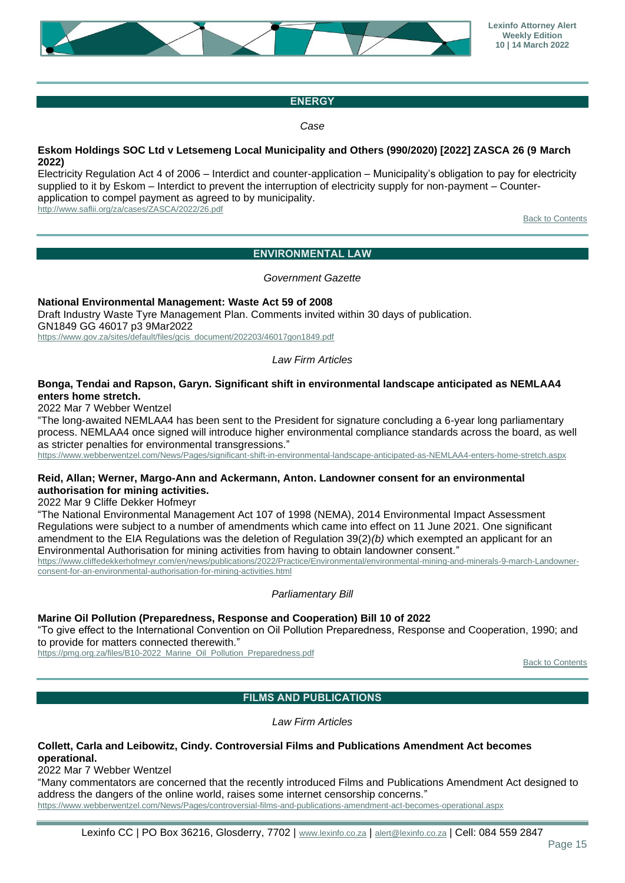

# **ENERGY**

*Case*

### <span id="page-14-0"></span>**Eskom Holdings SOC Ltd v Letsemeng Local Municipality and Others (990/2020) [2022] ZASCA 26 (9 March 2022)**

Electricity Regulation Act 4 of 2006 – Interdict and counter-application – Municipality's obligation to pay for electricity supplied to it by Eskom – Interdict to prevent the interruption of electricity supply for non-payment – Counterapplication to compel payment as agreed to by municipality. <http://www.saflii.org/za/cases/ZASCA/2022/26.pdf>

[Back to Contents](#page-0-0)

# **ENVIRONMENTAL LAW**

*Government Gazette*

<span id="page-14-1"></span>**National Environmental Management: Waste Act 59 of 2008** Draft Industry Waste Tyre Management Plan. Comments invited within 30 days of publication. GN1849 GG 46017 p3 9Mar2022

[https://www.gov.za/sites/default/files/gcis\\_document/202203/46017gon1849.pdf](https://www.gov.za/sites/default/files/gcis_document/202203/46017gon1849.pdf)

#### *Law Firm Articles*

#### **Bonga, Tendai and Rapson, Garyn. Significant shift in environmental landscape anticipated as NEMLAA4 enters home stretch.**

2022 Mar 7 Webber Wentzel

"The long-awaited NEMLAA4 has been sent to the President for signature concluding a 6-year long parliamentary process. NEMLAA4 once signed will introduce higher environmental compliance standards across the board, as well as stricter penalties for environmental transgressions."

<https://www.webberwentzel.com/News/Pages/significant-shift-in-environmental-landscape-anticipated-as-NEMLAA4-enters-home-stretch.aspx>

#### **Reid, Allan; Werner, Margo-Ann and Ackermann, Anton. Landowner consent for an environmental authorisation for mining activities.**

2022 Mar 9 Cliffe Dekker Hofmeyr

"The National Environmental Management Act 107 of 1998 (NEMA), 2014 Environmental Impact Assessment Regulations were subject to a number of amendments which came into effect on 11 June 2021. One significant amendment to the EIA Regulations was the deletion of Regulation 39(2)*(b)* which exempted an applicant for an Environmental Authorisation for mining activities from having to obtain landowner consent."

[https://www.cliffedekkerhofmeyr.com/en/news/publications/2022/Practice/Environmental/environmental-mining-and-minerals-9-march-Landowner](https://www.cliffedekkerhofmeyr.com/en/news/publications/2022/Practice/Environmental/environmental-mining-and-minerals-9-march-Landowner-consent-for-an-environmental-authorisation-for-mining-activities.html)[consent-for-an-environmental-authorisation-for-mining-activities.html](https://www.cliffedekkerhofmeyr.com/en/news/publications/2022/Practice/Environmental/environmental-mining-and-minerals-9-march-Landowner-consent-for-an-environmental-authorisation-for-mining-activities.html)

*Parliamentary Bill*

#### **Marine Oil Pollution (Preparedness, Response and Cooperation) Bill 10 of 2022**

"To give effect to the International Convention on Oil Pollution Preparedness, Response and Cooperation, 1990; and to provide for matters connected therewith."

<span id="page-14-2"></span>[https://pmg.org.za/files/B10-2022\\_Marine\\_Oil\\_Pollution\\_Preparedness.pdf](https://pmg.org.za/files/B10-2022_Marine_Oil_Pollution_Preparedness.pdf)

[Back to Contents](#page-0-0)

## **FILMS AND PUBLICATIONS**

*Law Firm Articles*

#### **Collett, Carla and Leibowitz, Cindy. Controversial Films and Publications Amendment Act becomes operational.**

2022 Mar 7 Webber Wentzel

"Many commentators are concerned that the recently introduced Films and Publications Amendment Act designed to address the dangers of the online world, raises some internet censorship concerns."

<https://www.webberwentzel.com/News/Pages/controversial-films-and-publications-amendment-act-becomes-operational.aspx>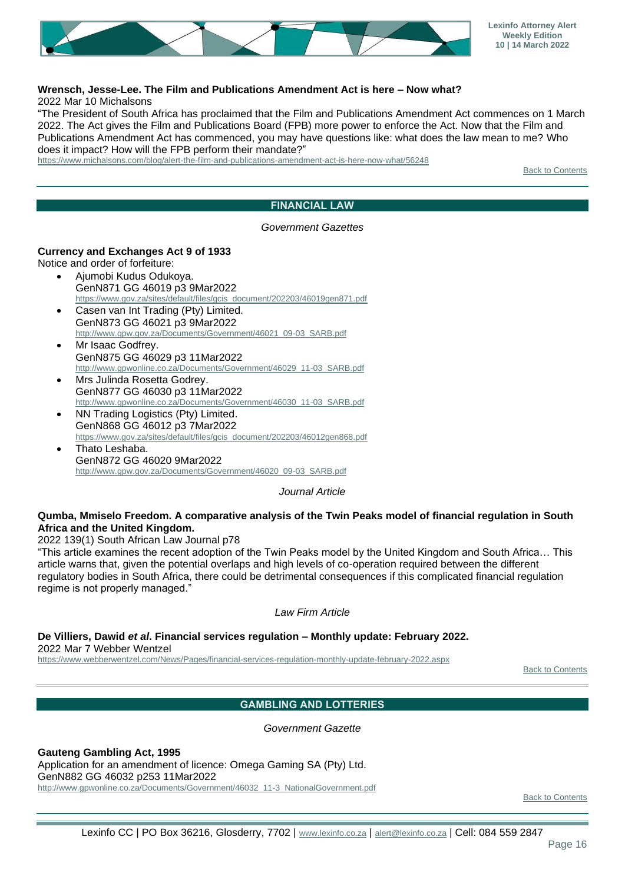

#### **Wrensch, Jesse-Lee. The Film and Publications Amendment Act is here – Now what?** 2022 Mar 10 Michalsons

"The President of South Africa has proclaimed that the Film and Publications Amendment Act commences on 1 March 2022. The Act gives the Film and Publications Board (FPB) more power to enforce the Act. Now that the Film and Publications Amendment Act has commenced, you may have questions like: what does the law mean to me? Who does it impact? How will the FPB perform their mandate?"

<span id="page-15-0"></span><https://www.michalsons.com/blog/alert-the-film-and-publications-amendment-act-is-here-now-what/56248>

[Back to Contents](#page-0-0)

#### **FINANCIAL LAW**

#### *Government Gazettes*

#### **Currency and Exchanges Act 9 of 1933**

Notice and order of forfeiture:

- Ajumobi Kudus Odukoya. GenN871 GG 46019 p3 9Mar2022 [https://www.gov.za/sites/default/files/gcis\\_document/202203/46019gen871.pdf](https://www.gov.za/sites/default/files/gcis_document/202203/46019gen871.pdf)
- Casen van Int Trading (Pty) Limited. GenN873 GG 46021 p3 9Mar2022 [http://www.gpw.gov.za/Documents/Government/46021\\_09-03\\_SARB.pdf](http://www.gpw.gov.za/Documents/Government/46021_09-03_SARB.pdf)
- Mr Isaac Godfrey. GenN875 GG 46029 p3 11Mar2022 [http://www.gpwonline.co.za/Documents/Government/46029\\_11-03\\_SARB.pdf](http://www.gpwonline.co.za/Documents/Government/46029_11-03_SARB.pdf)
- Mrs Julinda Rosetta Godrey. GenN877 GG 46030 p3 11Mar2022 [http://www.gpwonline.co.za/Documents/Government/46030\\_11-03\\_SARB.pdf](http://www.gpwonline.co.za/Documents/Government/46030_11-03_SARB.pdf)
- NN Trading Logistics (Pty) Limited. GenN868 GG 46012 p3 7Mar2022 [https://www.gov.za/sites/default/files/gcis\\_document/202203/46012gen868.pdf](https://www.gov.za/sites/default/files/gcis_document/202203/46012gen868.pdf)
- Thato Leshaba. GenN872 GG 46020 9Mar2022 [http://www.gpw.gov.za/Documents/Government/46020\\_09-03\\_SARB.pdf](http://www.gpw.gov.za/Documents/Government/46020_09-03_SARB.pdf)

*Journal Article*

#### **Qumba, Mmiselo Freedom. A comparative analysis of the Twin Peaks model of financial regulation in South Africa and the United Kingdom.**

2022 139(1) South African Law Journal p78

"This article examines the recent adoption of the Twin Peaks model by the United Kingdom and South Africa… This article warns that, given the potential overlaps and high levels of co-operation required between the different regulatory bodies in South Africa, there could be detrimental consequences if this complicated financial regulation regime is not properly managed."

#### *Law Firm Article*

**De Villiers, Dawid** *et al***. Financial services regulation – Monthly update: February 2022.**

2022 Mar 7 Webber Wentzel

<span id="page-15-1"></span><https://www.webberwentzel.com/News/Pages/financial-services-regulation-monthly-update-february-2022.aspx>

[Back to Contents](#page-0-0)

## **GAMBLING AND LOTTERIES**

*Government Gazette*

**Gauteng Gambling Act, 1995**

Application for an amendment of licence: Omega Gaming SA (Pty) Ltd.

GenN882 GG 46032 p253 11Mar2022

[http://www.gpwonline.co.za/Documents/Government/46032\\_11-3\\_NationalGovernment.pdf](http://www.gpwonline.co.za/Documents/Government/46032_11-3_NationalGovernment.pdf)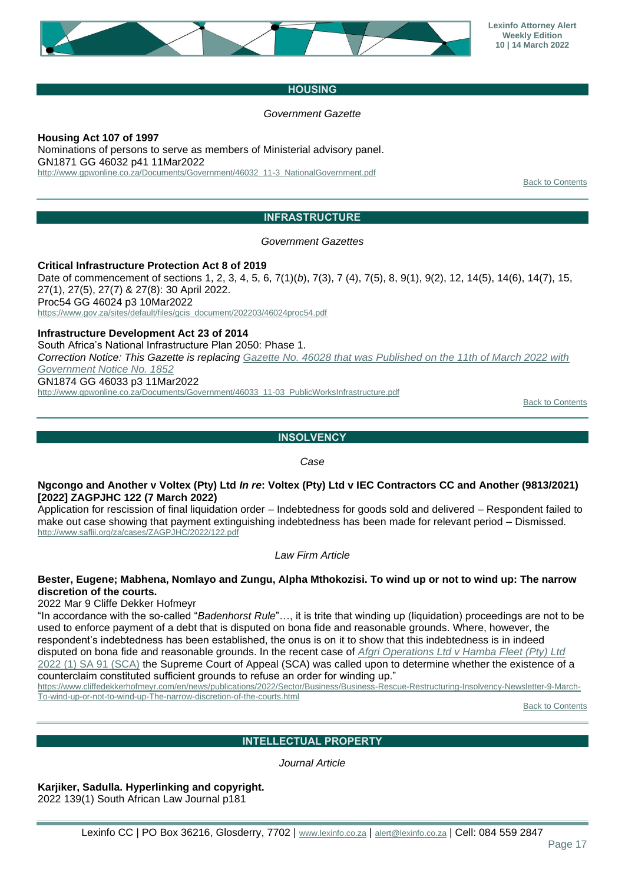

## **HOUSING**

### *Government Gazette*

<span id="page-16-0"></span>**Housing Act 107 of 1997** Nominations of persons to serve as members of Ministerial advisory panel. GN1871 GG 46032 p41 11Mar2022 [http://www.gpwonline.co.za/Documents/Government/46032\\_11-3\\_NationalGovernment.pdf](http://www.gpwonline.co.za/Documents/Government/46032_11-3_NationalGovernment.pdf)

[Back to Contents](#page-0-0)

# **INFRASTRUCTURE**

*Government Gazettes*

<span id="page-16-1"></span>**Critical Infrastructure Protection Act 8 of 2019** Date of commencement of sections 1, 2, 3, 4, 5, 6, 7(1)(*b*), 7(3), 7 (4), 7(5), 8, 9(1), 9(2), 12, 14(5), 14(6), 14(7), 15, 27(1), 27(5), 27(7) & 27(8): 30 April 2022. Proc54 GG 46024 p3 10Mar2022 [https://www.gov.za/sites/default/files/gcis\\_document/202203/46024proc54.pdf](https://www.gov.za/sites/default/files/gcis_document/202203/46024proc54.pdf)

**Infrastructure Development Act 23 of 2014** South Africa's National Infrastructure Plan 2050: Phase 1. *Correction Notice: This Gazette is replacing [Gazette No. 46028 that was Published on the 11th of March 2022 with](http://www.gpwonline.co.za/Documents/Government/46028_11-03_PublicWorksInfrastructure.pdf)  [Government Notice No. 1852](http://www.gpwonline.co.za/Documents/Government/46028_11-03_PublicWorksInfrastructure.pdf)* GN1874 GG 46033 p3 11Mar2022 [http://www.gpwonline.co.za/Documents/Government/46033\\_11-03\\_PublicWorksInfrastructure.pdf](http://www.gpwonline.co.za/Documents/Government/46033_11-03_PublicWorksInfrastructure.pdf)

[Back to Contents](#page-0-0)

# **INSOLVENCY**

*Case*

#### <span id="page-16-2"></span>**Ngcongo and Another v Voltex (Pty) Ltd** *In re***: Voltex (Pty) Ltd v IEC Contractors CC and Another (9813/2021) [2022] ZAGPJHC 122 (7 March 2022)**

Application for rescission of final liquidation order – Indebtedness for goods sold and delivered – Respondent failed to make out case showing that payment extinguishing indebtedness has been made for relevant period – Dismissed. <http://www.saflii.org/za/cases/ZAGPJHC/2022/122.pdf>

*Law Firm Article*

## **Bester, Eugene; Mabhena, Nomlayo and Zungu, Alpha Mthokozisi. To wind up or not to wind up: The narrow discretion of the courts.**

2022 Mar 9 Cliffe Dekker Hofmeyr

"In accordance with the so-called "*Badenhorst Rule*"…, it is trite that winding up (liquidation) proceedings are not to be used to enforce payment of a debt that is disputed on bona fide and reasonable grounds. Where, however, the respondent's indebtedness has been established, the onus is on it to show that this indebtedness is in indeed disputed on bona fide and reasonable grounds. In the recent case of *[Afgri Operations Ltd v Hamba Fleet \(Pty\) Ltd](http://www.saflii.org/za/cases/ZASCA/2017/24.pdf)* [2022 \(1\) SA 91 \(SCA\)](http://www.saflii.org/za/cases/ZASCA/2017/24.pdf) the Supreme Court of Appeal (SCA) was called upon to determine whether the existence of a counterclaim constituted sufficient grounds to refuse an order for winding up."

[https://www.cliffedekkerhofmeyr.com/en/news/publications/2022/Sector/Business/Business-Rescue-Restructuring-Insolvency-Newsletter-9-March-](https://www.cliffedekkerhofmeyr.com/en/news/publications/2022/Sector/Business/Business-Rescue-Restructuring-Insolvency-Newsletter-9-March-To-wind-up-or-not-to-wind-up-The-narrow-discretion-of-the-courts.html)[To-wind-up-or-not-to-wind-up-The-narrow-discretion-of-the-courts.html](https://www.cliffedekkerhofmeyr.com/en/news/publications/2022/Sector/Business/Business-Rescue-Restructuring-Insolvency-Newsletter-9-March-To-wind-up-or-not-to-wind-up-The-narrow-discretion-of-the-courts.html)

**[Back to Contents](#page-0-0)** 

# **INTELLECTUAL PROPERTY**

*Journal Article*

<span id="page-16-3"></span>**Karjiker, Sadulla. Hyperlinking and copyright.**

2022 139(1) South African Law Journal p181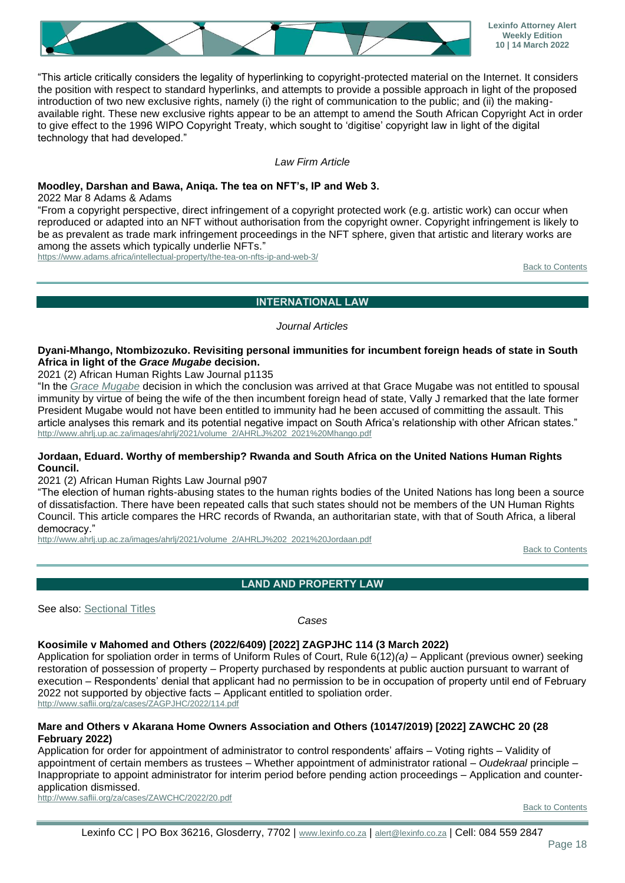

"This article critically considers the legality of hyperlinking to copyright-protected material on the Internet. It considers the position with respect to standard hyperlinks, and attempts to provide a possible approach in light of the proposed introduction of two new exclusive rights, namely (i) the right of communication to the public; and (ii) the makingavailable right. These new exclusive rights appear to be an attempt to amend the South African Copyright Act in order to give effect to the 1996 WIPO Copyright Treaty, which sought to 'digitise' copyright law in light of the digital technology that had developed."

#### *Law Firm Article*

#### **Moodley, Darshan and Bawa, Aniqa. The tea on NFT's, IP and Web 3.**

2022 Mar 8 Adams & Adams

"From a copyright perspective, direct infringement of a copyright protected work (e.g. artistic work) can occur when reproduced or adapted into an NFT without authorisation from the copyright owner. Copyright infringement is likely to be as prevalent as trade mark infringement proceedings in the NFT sphere, given that artistic and literary works are among the assets which typically underlie NFTs."

<span id="page-17-0"></span><https://www.adams.africa/intellectual-property/the-tea-on-nfts-ip-and-web-3/>

[Back to Contents](#page-0-0)

#### **INTERNATIONAL LAW**

#### *Journal Articles*

#### **Dyani-Mhango, Ntombizozuko. Revisiting personal immunities for incumbent foreign heads of state in South Africa in light of the** *Grace Mugabe* **decision.**

2021 (2) African Human Rights Law Journal p1135

"In the *[Grace Mugabe](http://www.saflii.org/za/cases/ZAGPPHC/2018/534.pdf)* decision in which the conclusion was arrived at that Grace Mugabe was not entitled to spousal immunity by virtue of being the wife of the then incumbent foreign head of state, Vally J remarked that the late former President Mugabe would not have been entitled to immunity had he been accused of committing the assault. This article analyses this remark and its potential negative impact on South Africa's relationship with other African states." [http://www.ahrlj.up.ac.za/images/ahrlj/2021/volume\\_2/AHRLJ%202\\_2021%20Mhango.pdf](http://www.ahrlj.up.ac.za/images/ahrlj/2021/volume_2/AHRLJ%202_2021%20Mhango.pdf)

#### **Jordaan, Eduard. Worthy of membership? Rwanda and South Africa on the United Nations Human Rights Council.**

2021 (2) African Human Rights Law Journal p907

"The election of human rights-abusing states to the human rights bodies of the United Nations has long been a source of dissatisfaction. There have been repeated calls that such states should not be members of the UN Human Rights Council. This article compares the HRC records of Rwanda, an authoritarian state, with that of South Africa, a liberal democracy."

[http://www.ahrlj.up.ac.za/images/ahrlj/2021/volume\\_2/AHRLJ%202\\_2021%20Jordaan.pdf](http://www.ahrlj.up.ac.za/images/ahrlj/2021/volume_2/AHRLJ%202_2021%20Jordaan.pdf)

[Back to Contents](#page-0-0)

**LAND AND PROPERTY LAW**

<span id="page-17-1"></span>See also: [Sectional Titles](#page-22-4)

*Cases*

#### **Koosimile v Mahomed and Others (2022/6409) [2022] ZAGPJHC 114 (3 March 2022)**

Application for spoliation order in terms of Uniform Rules of Court, Rule 6(12)*(a)* – Applicant (previous owner) seeking restoration of possession of property – Property purchased by respondents at public auction pursuant to warrant of execution – Respondents' denial that applicant had no permission to be in occupation of property until end of February 2022 not supported by objective facts – Applicant entitled to spoliation order. <http://www.saflii.org/za/cases/ZAGPJHC/2022/114.pdf>

#### **Mare and Others v Akarana Home Owners Association and Others (10147/2019) [2022] ZAWCHC 20 (28 February 2022)**

Application for order for appointment of administrator to control respondents' affairs – Voting rights – Validity of appointment of certain members as trustees – Whether appointment of administrator rational – *Oudekraal* principle – Inappropriate to appoint administrator for interim period before pending action proceedings – Application and counterapplication dismissed.

<http://www.saflii.org/za/cases/ZAWCHC/2022/20.pdf>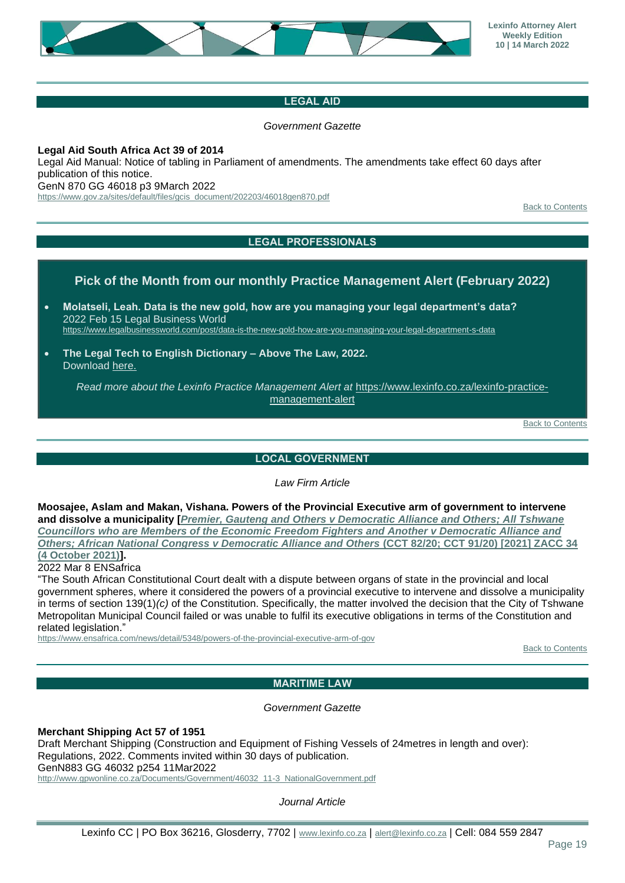

# **LEGAL AID**

*Government Gazette*

#### <span id="page-18-0"></span>**Legal Aid South Africa Act 39 of 2014**

Legal Aid Manual: Notice of tabling in Parliament of amendments. The amendments take effect 60 days after publication of this notice.

GenN 870 GG 46018 p3 9March 2022

<span id="page-18-1"></span>[https://www.gov.za/sites/default/files/gcis\\_document/202203/46018gen870.pdf](https://www.gov.za/sites/default/files/gcis_document/202203/46018gen870.pdf)

[Back to Contents](#page-0-0)

# **LEGAL PROFESSIONALS**

# **Pick of the Month from our monthly Practice Management Alert (February 2022)**

- **Molatseli, Leah. Data is the new gold, how are you managing your legal department's data?** 2022 Feb 15 Legal Business World <https://www.legalbusinessworld.com/post/data-is-the-new-gold-how-are-you-managing-your-legal-department-s-data>
- **The Legal Tech to English Dictionary – Above The Law, 2022.** Download [here.](https://f.hubspotusercontent30.net/hubfs/470182/Legal%20Tech%20Dictionary_FINAL.pdf)

*Read more about the Lexinfo Practice Management Alert at* [https://www.lexinfo.co.za/lexinfo-practice](https://www.lexinfo.co.za/lexinfo-practice-management-alert)[management-alert](https://www.lexinfo.co.za/lexinfo-practice-management-alert)

[Back to Contents](#page-0-0)

#### **LOCAL GOVERNMENT**

*Law Firm Article*

<span id="page-18-2"></span>**Moosajee, Aslam and Makan, Vishana. Powers of the Provincial Executive arm of government to intervene and dissolve a municipality [***[Premier, Gauteng and Others v Democratic Alliance and Others; All Tshwane](http://www.saflii.org/za/cases/ZACC/2021/34.pdf)  [Councillors who are Members of the Economic Freedom Fighters and Another v Democratic Alliance and](http://www.saflii.org/za/cases/ZACC/2021/34.pdf)  [Others; African National Congress v Democratic Alliance and Others](http://www.saflii.org/za/cases/ZACC/2021/34.pdf)* **(CCT 82/20; CCT 91/20) [2021] ZACC 34 [\(4 October 2021\)\]](http://www.saflii.org/za/cases/ZACC/2021/34.pdf).**

2022 Mar 8 ENSafrica

"The South African Constitutional Court dealt with a dispute between organs of state in the provincial and local government spheres, where it considered the powers of a provincial executive to intervene and dissolve a municipality in terms of section 139(1)*(c)* of the Constitution. Specifically, the matter involved the decision that the City of Tshwane Metropolitan Municipal Council failed or was unable to fulfil its executive obligations in terms of the Constitution and related legislation."

<span id="page-18-3"></span><https://www.ensafrica.com/news/detail/5348/powers-of-the-provincial-executive-arm-of-gov>

[Back to Contents](#page-0-0)

# **MARITIME LAW**

#### *Government Gazette*

**Merchant Shipping Act 57 of 1951**

Draft Merchant Shipping (Construction and Equipment of Fishing Vessels of 24metres in length and over): Regulations, 2022. Comments invited within 30 days of publication. GenN883 GG 46032 p254 11Mar2022 [http://www.gpwonline.co.za/Documents/Government/46032\\_11-3\\_NationalGovernment.pdf](http://www.gpwonline.co.za/Documents/Government/46032_11-3_NationalGovernment.pdf)

*Journal Article*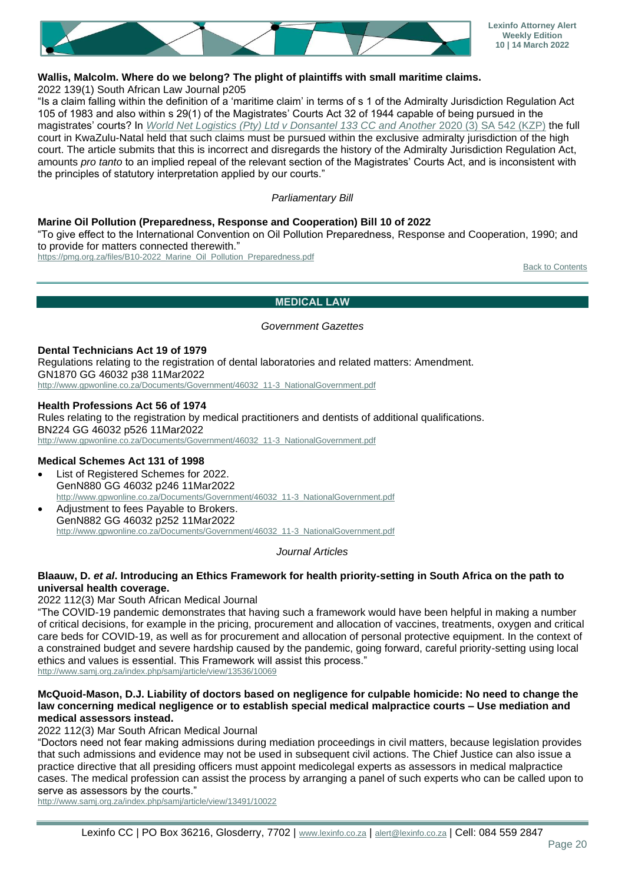

# **Wallis, Malcolm. Where do we belong? The plight of plaintiffs with small maritime claims.**

2022 139(1) South African Law Journal p205

"Is a claim falling within the definition of a 'maritime claim' in terms of s 1 of the Admiralty Jurisdiction Regulation Act 105 of 1983 and also within s 29(1) of the Magistrates' Courts Act 32 of 1944 capable of being pursued in the magistrates' courts? In *[World Net Logistics \(Pty\) Ltd v Donsantel 133 CC and Another](http://www.saflii.org/za/cases/ZAKZPHC/2019/78.pdf) 2020 (3) SA 542 (KZP)* the full court in KwaZulu-Natal held that such claims must be pursued within the exclusive admiralty jurisdiction of the high court. The article submits that this is incorrect and disregards the history of the Admiralty Jurisdiction Regulation Act, amounts *pro tanto* to an implied repeal of the relevant section of the Magistrates' Courts Act, and is inconsistent with the principles of statutory interpretation applied by our courts."

#### *Parliamentary Bill*

#### **Marine Oil Pollution (Preparedness, Response and Cooperation) Bill 10 of 2022**

"To give effect to the International Convention on Oil Pollution Preparedness, Response and Cooperation, 1990; and to provide for matters connected therewith."

<span id="page-19-0"></span>[https://pmg.org.za/files/B10-2022\\_Marine\\_Oil\\_Pollution\\_Preparedness.pdf](https://pmg.org.za/files/B10-2022_Marine_Oil_Pollution_Preparedness.pdf)

[Back to Contents](#page-0-0)

#### **MEDICAL LAW**

#### *Government Gazettes*

**Dental Technicians Act 19 of 1979** Regulations relating to the registration of dental laboratories and related matters: Amendment. GN1870 GG 46032 p38 11Mar2022 [http://www.gpwonline.co.za/Documents/Government/46032\\_11-3\\_NationalGovernment.pdf](http://www.gpwonline.co.za/Documents/Government/46032_11-3_NationalGovernment.pdf)

**Health Professions Act 56 of 1974** Rules relating to the registration by medical practitioners and dentists of additional qualifications. BN224 GG 46032 p526 11Mar2022 [http://www.gpwonline.co.za/Documents/Government/46032\\_11-3\\_NationalGovernment.pdf](http://www.gpwonline.co.za/Documents/Government/46032_11-3_NationalGovernment.pdf)

#### **Medical Schemes Act 131 of 1998**

- List of Registered Schemes for 2022. GenN880 GG 46032 p246 11Mar2022 [http://www.gpwonline.co.za/Documents/Government/46032\\_11-3\\_NationalGovernment.pdf](http://www.gpwonline.co.za/Documents/Government/46032_11-3_NationalGovernment.pdf)
- Adjustment to fees Payable to Brokers. GenN882 GG 46032 p252 11Mar2022 [http://www.gpwonline.co.za/Documents/Government/46032\\_11-3\\_NationalGovernment.pdf](http://www.gpwonline.co.za/Documents/Government/46032_11-3_NationalGovernment.pdf)

#### *Journal Articles*

#### **Blaauw, D.** *et al***. Introducing an Ethics Framework for health priority-setting in South Africa on the path to universal health coverage.**

2022 112(3) Mar South African Medical Journal

"The COVID-19 pandemic demonstrates that having such a framework would have been helpful in making a number of critical decisions, for example in the pricing, procurement and allocation of vaccines, treatments, oxygen and critical care beds for COVID-19, as well as for procurement and allocation of personal protective equipment. In the context of a constrained budget and severe hardship caused by the pandemic, going forward, careful priority-setting using local ethics and values is essential. This Framework will assist this process."

<http://www.samj.org.za/index.php/samj/article/view/13536/10069>

#### **McQuoid-Mason, D.J. Liability of doctors based on negligence for culpable homicide: No need to change the law concerning medical negligence or to establish special medical malpractice courts – Use mediation and medical assessors instead.**

#### 2022 112(3) Mar South African Medical Journal

"Doctors need not fear making admissions during mediation proceedings in civil matters, because legislation provides that such admissions and evidence may not be used in subsequent civil actions. The Chief Justice can also issue a practice directive that all presiding officers must appoint medicolegal experts as assessors in medical malpractice cases. The medical profession can assist the process by arranging a panel of such experts who can be called upon to serve as assessors by the courts."

<http://www.samj.org.za/index.php/samj/article/view/13491/10022>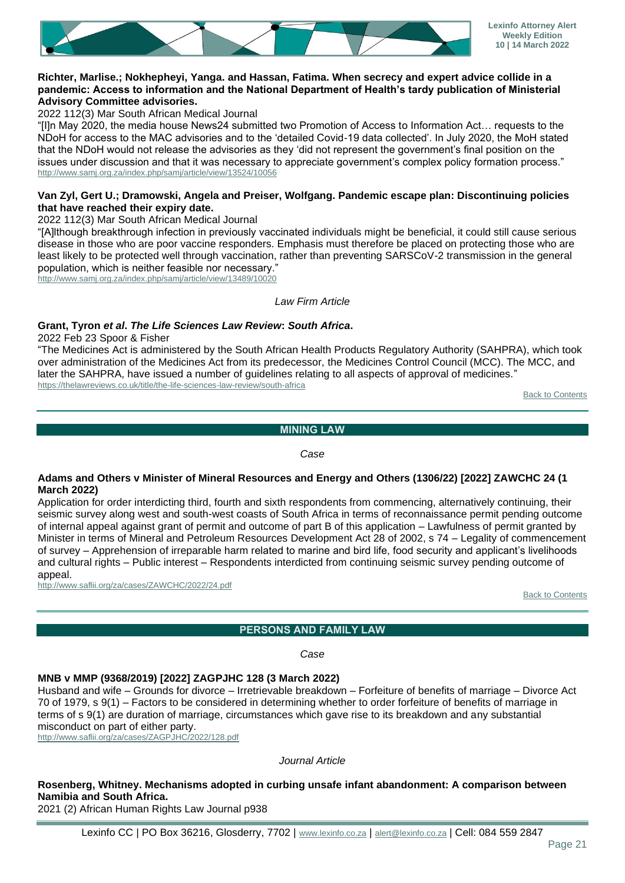

#### **Richter, Marlise.; Nokhepheyi, Yanga. and Hassan, Fatima. When secrecy and expert advice collide in a pandemic: Access to information and the National Department of Health's tardy publication of Ministerial Advisory Committee advisories.**

2022 112(3) Mar South African Medical Journal

"[I]n May 2020, the media house News24 submitted two Promotion of Access to Information Act… requests to the NDoH for access to the MAC advisories and to the 'detailed Covid-19 data collected'. In July 2020, the MoH stated that the NDoH would not release the advisories as they 'did not represent the government's final position on the issues under discussion and that it was necessary to appreciate government's complex policy formation process." <http://www.samj.org.za/index.php/samj/article/view/13524/10056>

## **Van Zyl, Gert U.; Dramowski, Angela and Preiser, Wolfgang. Pandemic escape plan: Discontinuing policies that have reached their expiry date.**

2022 112(3) Mar South African Medical Journal

"[A]lthough breakthrough infection in previously vaccinated individuals might be beneficial, it could still cause serious disease in those who are poor vaccine responders. Emphasis must therefore be placed on protecting those who are least likely to be protected well through vaccination, rather than preventing SARSCoV-2 transmission in the general population, which is neither feasible nor necessary."

<http://www.samj.org.za/index.php/samj/article/view/13489/10020>

*Law Firm Article*

## **Grant, Tyron** *et al***.** *The Life Sciences Law Review***:** *South Africa***.**

2022 Feb 23 Spoor & Fisher

"The Medicines Act is administered by the South African Health Products Regulatory Authority (SAHPRA), which took over administration of the Medicines Act from its predecessor, the Medicines Control Council (MCC). The MCC, and later the SAHPRA, have issued a number of guidelines relating to all aspects of approval of medicines." <https://thelawreviews.co.uk/title/the-life-sciences-law-review/south-africa>

[Back to Contents](#page-0-0)

#### **MINING LAW**

#### *Case*

#### <span id="page-20-0"></span>**Adams and Others v Minister of Mineral Resources and Energy and Others (1306/22) [2022] ZAWCHC 24 (1 March 2022)**

Application for order interdicting third, fourth and sixth respondents from commencing, alternatively continuing, their seismic survey along west and south-west coasts of South Africa in terms of reconnaissance permit pending outcome of internal appeal against grant of permit and outcome of part B of this application – Lawfulness of permit granted by Minister in terms of Mineral and Petroleum Resources Development Act 28 of 2002, s 74 – Legality of commencement of survey – Apprehension of irreparable harm related to marine and bird life, food security and applicant's livelihoods and cultural rights – Public interest – Respondents interdicted from continuing seismic survey pending outcome of appeal.

<span id="page-20-1"></span><http://www.saflii.org/za/cases/ZAWCHC/2022/24.pdf>

[Back to Contents](#page-0-0)

## **PERSONS AND FAMILY LAW**

*Case*

## **MNB v MMP (9368/2019) [2022] ZAGPJHC 128 (3 March 2022)**

Husband and wife – Grounds for divorce – Irretrievable breakdown – Forfeiture of benefits of marriage – Divorce Act 70 of 1979, s 9(1) – Factors to be considered in determining whether to order forfeiture of benefits of marriage in terms of s 9(1) are duration of marriage, circumstances which gave rise to its breakdown and any substantial misconduct on part of either party.

<http://www.saflii.org/za/cases/ZAGPJHC/2022/128.pdf>

#### *Journal Article*

# **Rosenberg, Whitney. Mechanisms adopted in curbing unsafe infant abandonment: A comparison between Namibia and South Africa.**

2021 (2) African Human Rights Law Journal p938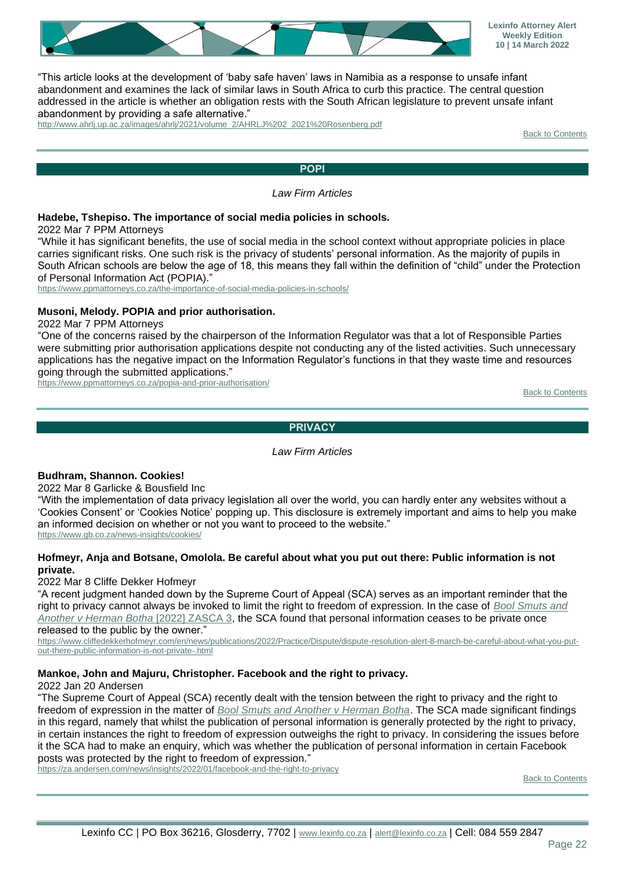![](_page_21_Picture_0.jpeg)

"This article looks at the development of 'baby safe haven' laws in Namibia as a response to unsafe infant abandonment and examines the lack of similar laws in South Africa to curb this practice. The central question addressed in the article is whether an obligation rests with the South African legislature to prevent unsafe infant abandonment by providing a safe alternative."

<span id="page-21-0"></span>[http://www.ahrlj.up.ac.za/images/ahrlj/2021/volume\\_2/AHRLJ%202\\_2021%20Rosenberg.pdf](http://www.ahrlj.up.ac.za/images/ahrlj/2021/volume_2/AHRLJ%202_2021%20Rosenberg.pdf)

[Back to Contents](#page-0-0)

# **POPI**

*Law Firm Articles*

#### **Hadebe, Tshepiso. The importance of social media policies in schools.**

2022 Mar 7 PPM Attorneys

"While it has significant benefits, the use of social media in the school context without appropriate policies in place carries significant risks. One such risk is the privacy of students' personal information. As the majority of pupils in South African schools are below the age of 18, this means they fall within the definition of "child" under the Protection of Personal Information Act (POPIA)."

<https://www.ppmattorneys.co.za/the-importance-of-social-media-policies-in-schools/>

#### **Musoni, Melody. POPIA and prior authorisation.**

2022 Mar 7 PPM Attorneys

"One of the concerns raised by the chairperson of the Information Regulator was that a lot of Responsible Parties were submitting prior authorisation applications despite not conducting any of the listed activities. Such unnecessary applications has the negative impact on the Information Regulator's functions in that they waste time and resources going through the submitted applications."

<span id="page-21-1"></span><https://www.ppmattorneys.co.za/popia-and-prior-authorisation/>

[Back to Contents](#page-0-0)

#### **PRIVACY**

#### *Law Firm Articles*

#### **Budhram, Shannon. Cookies!**

2022 Mar 8 Garlicke & Bousfield Inc

"With the implementation of data privacy legislation all over the world, you can hardly enter any websites without a 'Cookies Consent' or 'Cookies Notice' popping up. This disclosure is extremely important and aims to help you make an informed decision on whether or not you want to proceed to the website." <https://www.gb.co.za/news-insights/cookies/>

#### **Hofmeyr, Anja and Botsane, Omolola. Be careful about what you put out there: Public information is not private.**

2022 Mar 8 Cliffe Dekker Hofmeyr

"A recent judgment handed down by the Supreme Court of Appeal (SCA) serves as an important reminder that the right to privacy cannot always be invoked to limit the right to freedom of expression. In the case of *[Bool Smuts and](http://www.saflii.org/za/cases/ZASCA/2022/3.pdf)  [Another v Herman Botha](http://www.saflii.org/za/cases/ZASCA/2022/3.pdf)* [2022] ZASCA 3, the SCA found that personal information ceases to be private once released to the public by the owner."

[https://www.cliffedekkerhofmeyr.com/en/news/publications/2022/Practice/Dispute/dispute-resolution-alert-8-march-be-careful-about-what-you-put](https://www.cliffedekkerhofmeyr.com/en/news/publications/2022/Practice/Dispute/dispute-resolution-alert-8-march-be-careful-about-what-you-put-out-there-public-information-is-not-private-.html)[out-there-public-information-is-not-private-.html](https://www.cliffedekkerhofmeyr.com/en/news/publications/2022/Practice/Dispute/dispute-resolution-alert-8-march-be-careful-about-what-you-put-out-there-public-information-is-not-private-.html)

#### **Mankoe, John and Majuru, Christopher. Facebook and the right to privacy.**

#### 2022 Jan 20 Andersen

"The Supreme Court of Appeal (SCA) recently dealt with the tension between the right to privacy and the right to freedom of expression in the matter of *[Bool Smuts and Another v Herman Botha](http://www.saflii.org/za/cases/ZASCA/2022/3.pdf)*. The SCA made significant findings in this regard, namely that whilst the publication of personal information is generally protected by the right to privacy, in certain instances the right to freedom of expression outweighs the right to privacy. In considering the issues before it the SCA had to make an enquiry, which was whether the publication of personal information in certain Facebook posts was protected by the right to freedom of expression."

<https://za.andersen.com/news/insights/2022/01/facebook-and-the-right-to-privacy>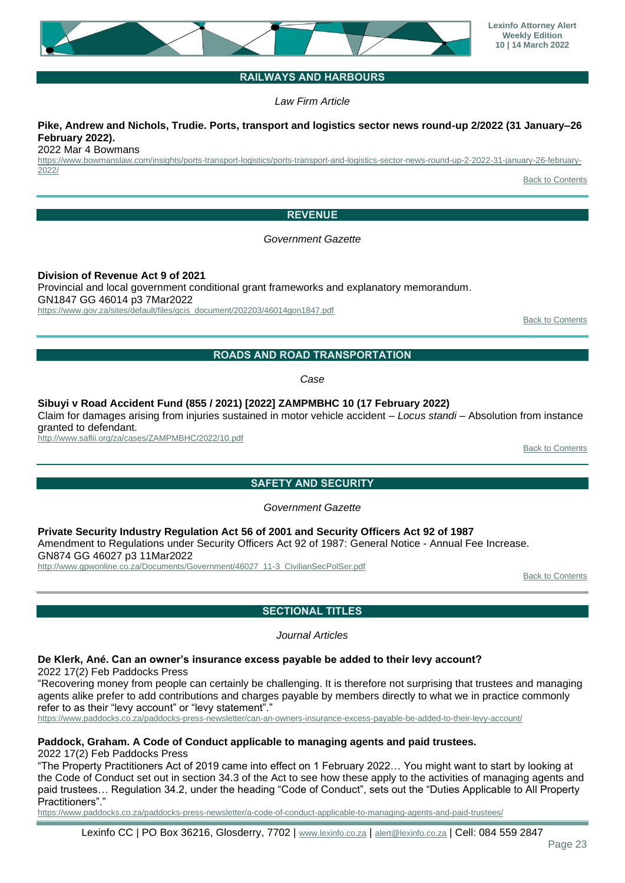#### **Lexinfo Attorney Alert Weekly Edition 10 | 14 March 2022**

# **RAILWAYS AND HARBOURS**

*Law Firm Article*

#### <span id="page-22-0"></span>**Pike, Andrew and Nichols, Trudie. Ports, transport and logistics sector news round-up 2/2022 (31 January–26 February 2022).**

2022 Mar 4 Bowmans

<span id="page-22-1"></span>[https://www.bowmanslaw.com/insights/ports-transport-logistics/ports-transport-and-logistics-sector-news-round-up-2-2022-31-january-26-february-](https://www.bowmanslaw.com/insights/ports-transport-logistics/ports-transport-and-logistics-sector-news-round-up-2-2022-31-january-26-february-2022/)[2022/](https://www.bowmanslaw.com/insights/ports-transport-logistics/ports-transport-and-logistics-sector-news-round-up-2-2022-31-january-26-february-2022/)

[Back to Contents](#page-0-0)

# **REVENUE**

*Government Gazette*

**Division of Revenue Act 9 of 2021** Provincial and local government conditional grant frameworks and explanatory memorandum. GN1847 GG 46014 p3 7Mar2022 [https://www.gov.za/sites/default/files/gcis\\_document/202203/46014gon1847.pdf](https://www.gov.za/sites/default/files/gcis_document/202203/46014gon1847.pdf)

[Back to Contents](#page-0-0)

# **ROADS AND ROAD TRANSPORTATION**

*Case*

<span id="page-22-2"></span>**Sibuyi v Road Accident Fund (855 / 2021) [2022] ZAMPMBHC 10 (17 February 2022)** Claim for damages arising from injuries sustained in motor vehicle accident – *Locus standi* – Absolution from instance granted to defendant. <http://www.saflii.org/za/cases/ZAMPMBHC/2022/10.pdf>

[Back to Contents](#page-0-0)

# **SAFETY AND SECURITY**

*Government Gazette*

<span id="page-22-3"></span>**Private Security Industry Regulation Act 56 of 2001 and Security Officers Act 92 of 1987** Amendment to Regulations under Security Officers Act 92 of 1987: General Notice - Annual Fee Increase. GN874 GG 46027 p3 11Mar2022

<span id="page-22-4"></span>[http://www.gpwonline.co.za/Documents/Government/46027\\_11-3\\_CivilianSecPolSer.pdf](http://www.gpwonline.co.za/Documents/Government/46027_11-3_CivilianSecPolSer.pdf)

**[Back to Contents](#page-0-0)** 

**SECTIONAL TITLES**

*Journal Articles*

# **De Klerk, Ané. Can an owner's insurance excess payable be added to their levy account?**

2022 17(2) Feb Paddocks Press

"Recovering money from people can certainly be challenging. It is therefore not surprising that trustees and managing agents alike prefer to add contributions and charges payable by members directly to what we in practice commonly refer to as their "levy account" or "levy statement"."

<https://www.paddocks.co.za/paddocks-press-newsletter/can-an-owners-insurance-excess-payable-be-added-to-their-levy-account/>

## **Paddock, Graham. A Code of Conduct applicable to managing agents and paid trustees.**

2022 17(2) Feb Paddocks Press

"The Property Practitioners Act of 2019 came into effect on 1 February 2022… You might want to start by looking at the Code of Conduct set out in section 34.3 of the Act to see how these apply to the activities of managing agents and paid trustees… Regulation 34.2, under the heading "Code of Conduct", sets out the "Duties Applicable to All Property Practitioners"."

<https://www.paddocks.co.za/paddocks-press-newsletter/a-code-of-conduct-applicable-to-managing-agents-and-paid-trustees/>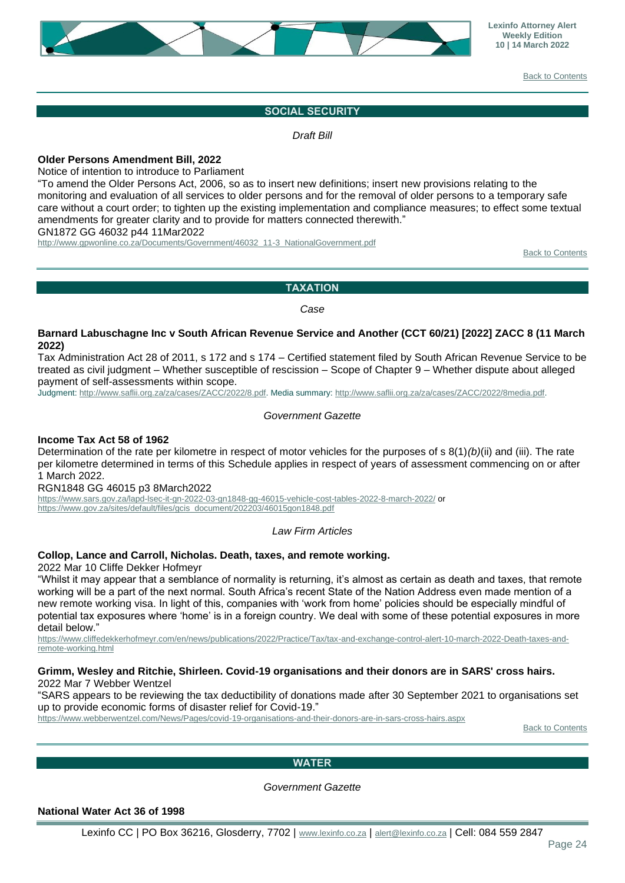![](_page_23_Picture_0.jpeg)

[Back to Contents](#page-0-0)

#### **SOCIAL SECURITY**

*Draft Bill*

#### <span id="page-23-0"></span>**Older Persons Amendment Bill, 2022**

Notice of intention to introduce to Parliament

"To amend the Older Persons Act, 2006, so as to insert new definitions; insert new provisions relating to the monitoring and evaluation of all services to older persons and for the removal of older persons to a temporary safe care without a court order; to tighten up the existing implementation and compliance measures; to effect some textual amendments for greater clarity and to provide for matters connected therewith."

GN1872 GG 46032 p44 11Mar2022

<span id="page-23-1"></span>[http://www.gpwonline.co.za/Documents/Government/46032\\_11-3\\_NationalGovernment.pdf](http://www.gpwonline.co.za/Documents/Government/46032_11-3_NationalGovernment.pdf)

[Back to Contents](#page-0-0)

#### **TAXATION**

*Case*

#### **Barnard Labuschagne Inc v South African Revenue Service and Another (CCT 60/21) [2022] ZACC 8 (11 March 2022)**

Tax Administration Act 28 of 2011, s 172 and s 174 – Certified statement filed by South African Revenue Service to be treated as civil judgment – Whether susceptible of rescission – Scope of Chapter 9 – Whether dispute about alleged payment of self-assessments within scope.

Judgment: [http://www.saflii.org.za/za/cases/ZACC/2022/8.pdf.](http://www.saflii.org.za/za/cases/ZACC/2022/8.pdfJ) Media summary[: http://www.saflii.org.za/za/cases/ZACC/2022/8media.pdf.](http://www.saflii.org.za/za/cases/ZACC/2022/8media.pdf)

#### *Government Gazette*

#### **Income Tax Act 58 of 1962**

Determination of the rate per kilometre in respect of motor vehicles for the purposes of s 8(1)*(b)*(ii) and (iii). The rate per kilometre determined in terms of this Schedule applies in respect of years of assessment commencing on or after 1 March 2022.

RGN1848 GG 46015 p3 8March2022

<https://www.sars.gov.za/lapd-lsec-it-gn-2022-03-gn1848-gg-46015-vehicle-cost-tables-2022-8-march-2022/> or [https://www.gov.za/sites/default/files/gcis\\_document/202203/46015gon1848.pdf](https://www.gov.za/sites/default/files/gcis_document/202203/46015gon1848.pdf)

#### *Law Firm Articles*

#### **Collop, Lance and Carroll, Nicholas. Death, taxes, and remote working.**

2022 Mar 10 Cliffe Dekker Hofmeyr

"Whilst it may appear that a semblance of normality is returning, it's almost as certain as death and taxes, that remote working will be a part of the next normal. South Africa's recent State of the Nation Address even made mention of a new remote working visa. In light of this, companies with 'work from home' policies should be especially mindful of potential tax exposures where 'home' is in a foreign country. We deal with some of these potential exposures in more detail below."

[https://www.cliffedekkerhofmeyr.com/en/news/publications/2022/Practice/Tax/tax-and-exchange-control-alert-10-march-2022-Death-taxes-and](https://www.cliffedekkerhofmeyr.com/en/news/publications/2022/Practice/Tax/tax-and-exchange-control-alert-10-march-2022-Death-taxes-and-remote-working.html)[remote-working.html](https://www.cliffedekkerhofmeyr.com/en/news/publications/2022/Practice/Tax/tax-and-exchange-control-alert-10-march-2022-Death-taxes-and-remote-working.html)

#### **Grimm, Wesley and Ritchie, Shirleen. Covid-19 organisations and their donors are in SARS' cross hairs.** 2022 Mar 7 Webber Wentzel

"SARS appears to be reviewing the tax deductibility of donations made after 30 September 2021 to organisations set up to provide economic forms of disaster relief for Covid-19."

<span id="page-23-2"></span><https://www.webberwentzel.com/News/Pages/covid-19-organisations-and-their-donors-are-in-sars-cross-hairs.aspx>

**[Back to Contents](#page-0-0)** 

#### **WATER**

*Government Gazette*

**National Water Act 36 of 1998**